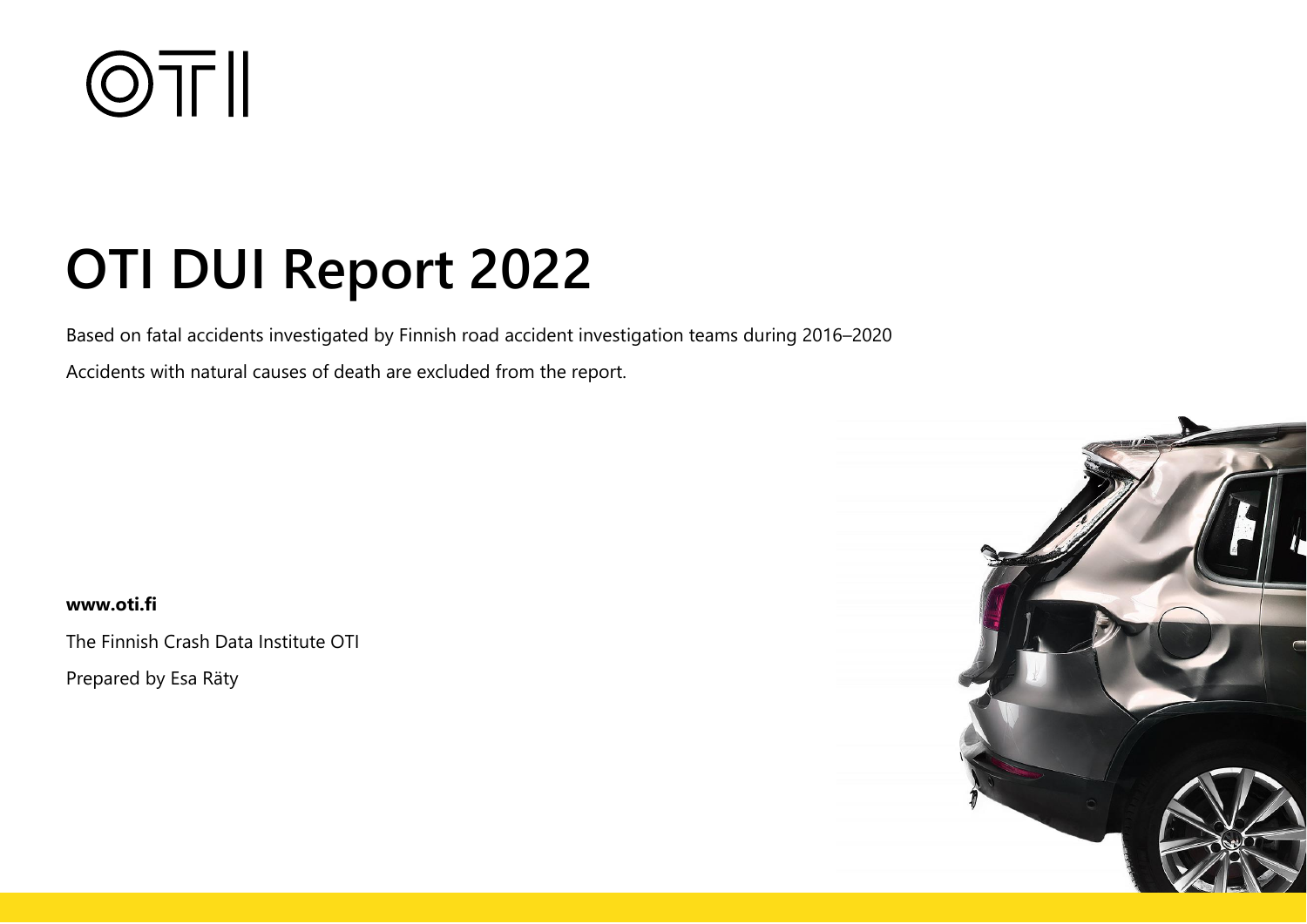

# **OTI DUI Report 2022**

Based on fatal accidents investigated by Finnish road accident investigation teams during 2016–2020

Accidents with natural causes of death are excluded from the report.

**www.oti.fi**

The Finnish Crash Data Institute OTI

Prepared by Esa Räty

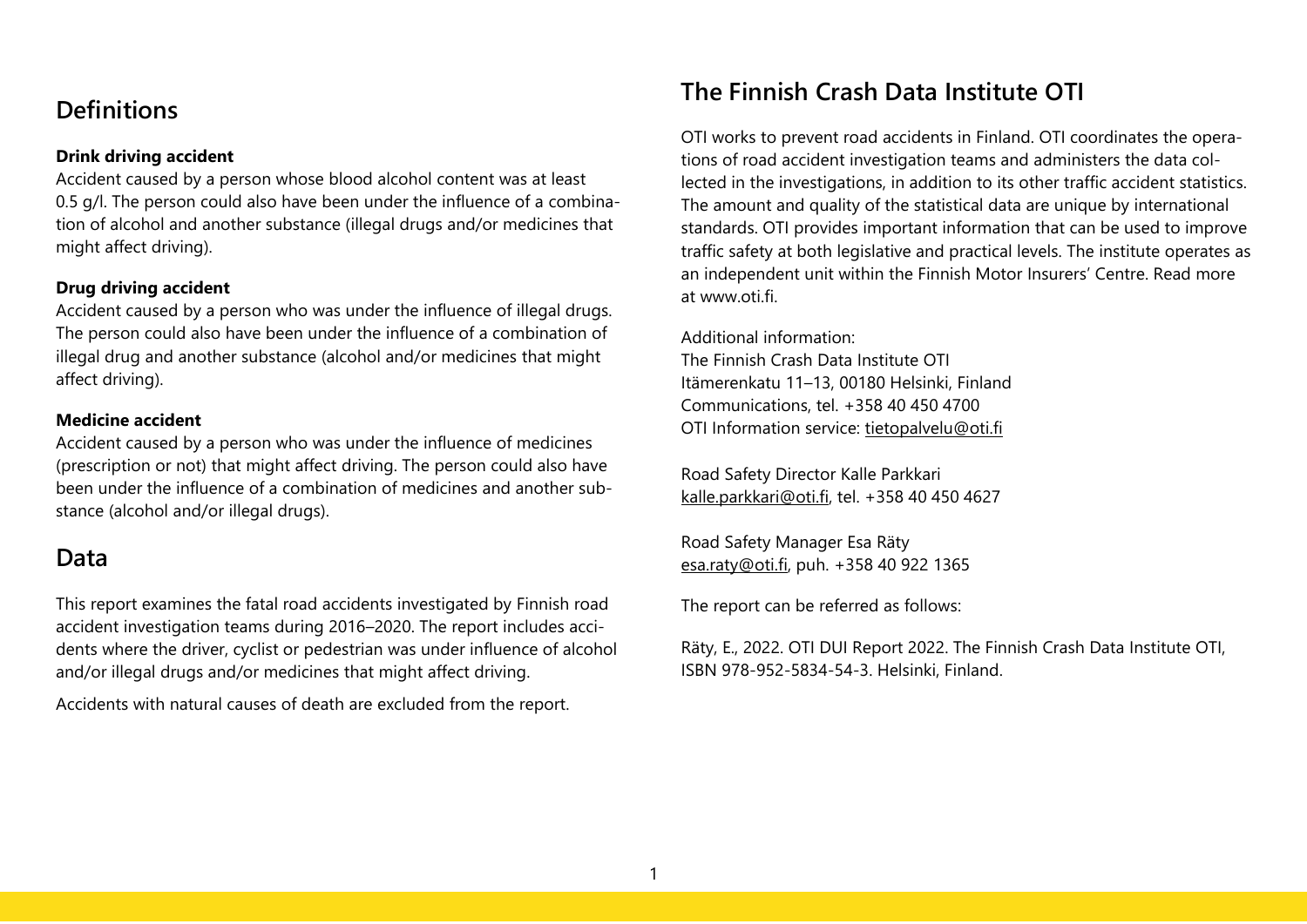# **Definitions**

#### **Drink driving accident**

Accident caused by a person whose blood alcohol content was at least 0.5 g/l. The person could also have been under the influence of a combination of alcohol and another substance (illegal drugs and/or medicines that might affect driving).

#### **Drug driving accident**

Accident caused by a person who was under the influence of illegal drugs. The person could also have been under the influence of a combination of illegal drug and another substance (alcohol and/or medicines that might affect driving).

#### **Medicine accident**

Accident caused by a person who was under the influence of medicines (prescription or not) that might affect driving. The person could also have been under the influence of a combination of medicines and another substance (alcohol and/or illegal drugs).

# **Data**

This report examines the fatal road accidents investigated by Finnish road accident investigation teams during 2016–2020. The report includes accidents where the driver, cyclist or pedestrian was under influence of alcohol and/or illegal drugs and/or medicines that might affect driving.

Accidents with natural causes of death are excluded from the report.

# **The Finnish Crash Data Institute OTI**

OTI works to prevent road accidents in Finland. OTI coordinates the operations of road accident investigation teams and administers the data collected in the investigations, in addition to its other traffic accident statistics. The amount and quality of the statistical data are unique by international standards. OTI provides important information that can be used to improve traffic safety at both legislative and practical levels. The institute operates as an independent unit within the Finnish Motor Insurers' Centre. Read more at www.oti.fi.

Additional information:

The Finnish Crash Data Institute OTI Itämerenkatu 11–13, 00180 Helsinki, Finland Communications, tel. +358 40 450 4700 OTI Information service: [tietopalvelu@oti.fi](mailto:tietopalvelu@oti.fi)

Road Safety Director Kalle Parkkari [kalle.parkkari@oti.fi,](mailto:kalle.parkkari@oti.fi) tel. +358 40 450 4627

Road Safety Manager Esa Räty [esa.raty@oti.fi,](mailto:esa.raty@oti.fi) puh. +358 40 922 1365

The report can be referred as follows:

Räty, E., 2022. OTI DUI Report 2022. The Finnish Crash Data Institute OTI, ISBN 978-952-5834-54-3. Helsinki, Finland.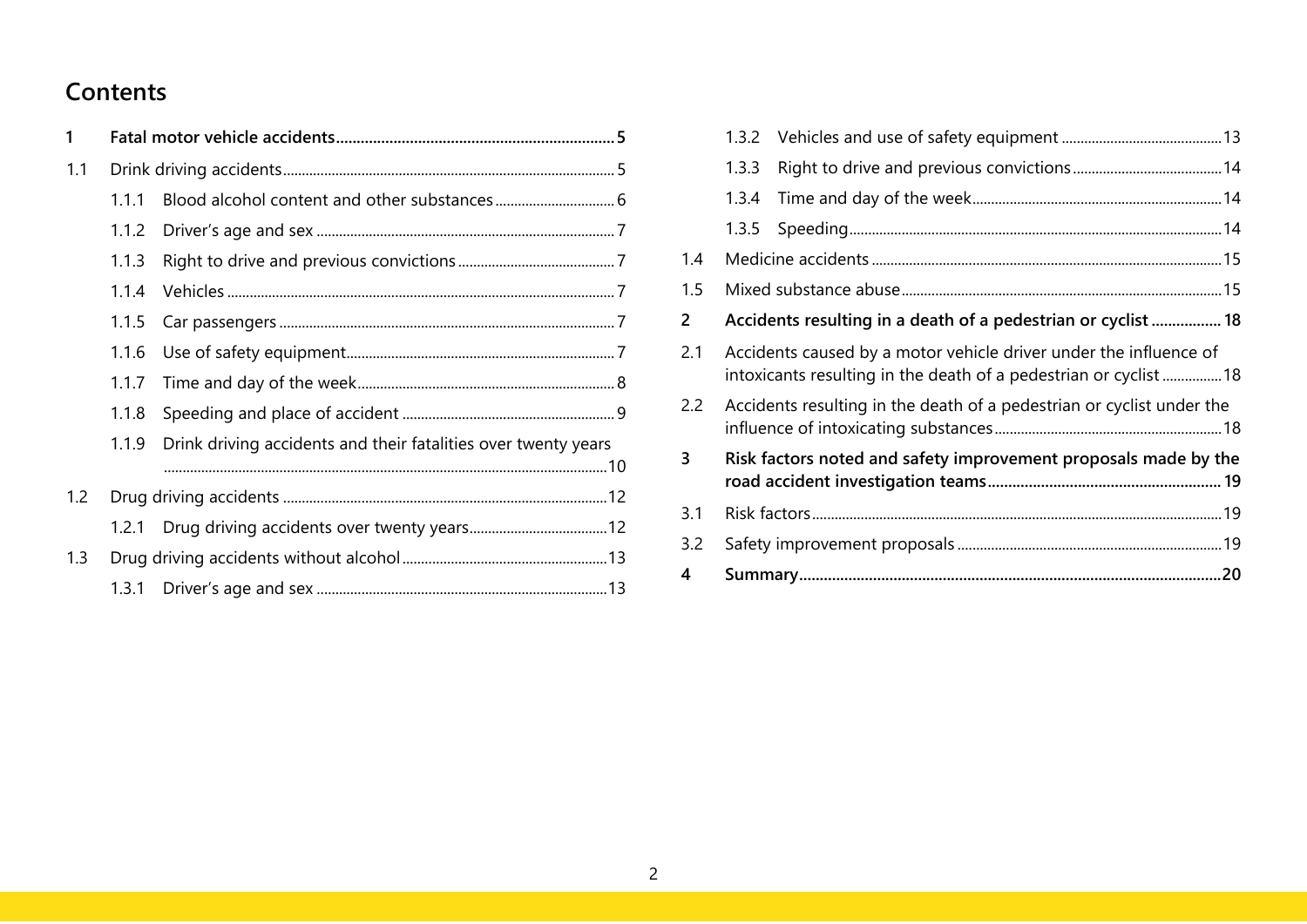# **Contents**

| 1   |       |                                                                |  |
|-----|-------|----------------------------------------------------------------|--|
| 1.1 |       |                                                                |  |
|     | 1.1.1 |                                                                |  |
|     | 1.1.2 |                                                                |  |
|     | 1.1.3 |                                                                |  |
|     | 1.1.4 |                                                                |  |
|     | 1.1.5 |                                                                |  |
|     | 1.1.6 |                                                                |  |
|     | 1.1.7 |                                                                |  |
|     | 1.1.8 |                                                                |  |
|     | 1.1.9 | Drink driving accidents and their fatalities over twenty years |  |
|     |       |                                                                |  |
| 1.2 |       |                                                                |  |
|     |       | 1.2.1 Drug driving accidents over twenty years 12              |  |
| 1.3 |       |                                                                |  |
|     |       |                                                                |  |

|               | 1.3.2                                                                                                                                |                                                                       |  |  |  |  |  |  |  |  |
|---------------|--------------------------------------------------------------------------------------------------------------------------------------|-----------------------------------------------------------------------|--|--|--|--|--|--|--|--|
|               | 1.3.3                                                                                                                                |                                                                       |  |  |  |  |  |  |  |  |
|               | 1.3.4                                                                                                                                |                                                                       |  |  |  |  |  |  |  |  |
|               | 1.3.5                                                                                                                                |                                                                       |  |  |  |  |  |  |  |  |
| 1.4           |                                                                                                                                      |                                                                       |  |  |  |  |  |  |  |  |
| 1.5           |                                                                                                                                      |                                                                       |  |  |  |  |  |  |  |  |
| 2             |                                                                                                                                      | Accidents resulting in a death of a pedestrian or cyclist  18         |  |  |  |  |  |  |  |  |
| 2.1           | Accidents caused by a motor vehicle driver under the influence of<br>intoxicants resulting in the death of a pedestrian or cyclist18 |                                                                       |  |  |  |  |  |  |  |  |
| $2.2^{\circ}$ |                                                                                                                                      | Accidents resulting in the death of a pedestrian or cyclist under the |  |  |  |  |  |  |  |  |
| 3             |                                                                                                                                      | Risk factors noted and safety improvement proposals made by the       |  |  |  |  |  |  |  |  |
| 3.1           |                                                                                                                                      |                                                                       |  |  |  |  |  |  |  |  |
| 3.2           |                                                                                                                                      |                                                                       |  |  |  |  |  |  |  |  |
| 4             |                                                                                                                                      |                                                                       |  |  |  |  |  |  |  |  |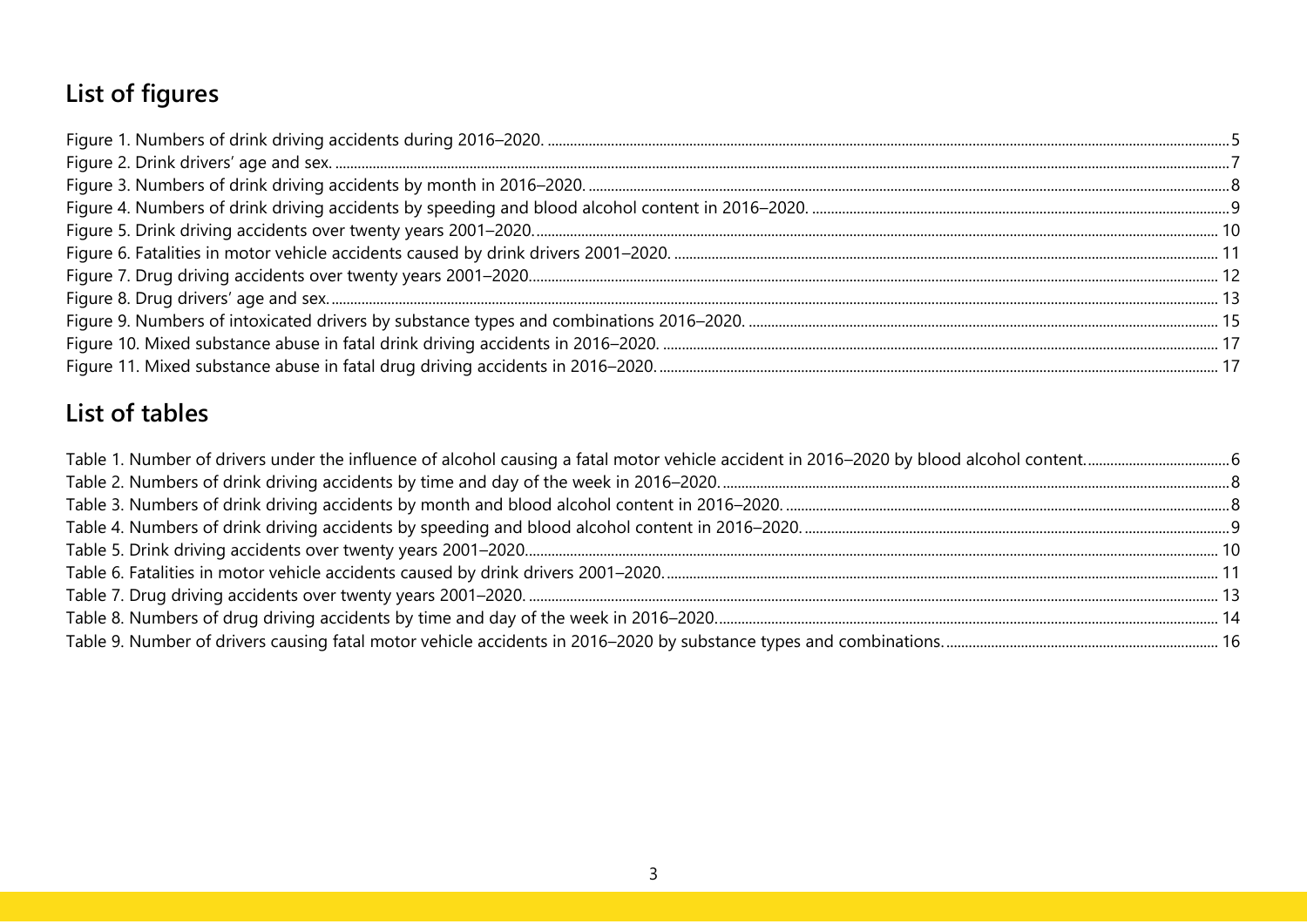# **List of figures**

# **List of tables**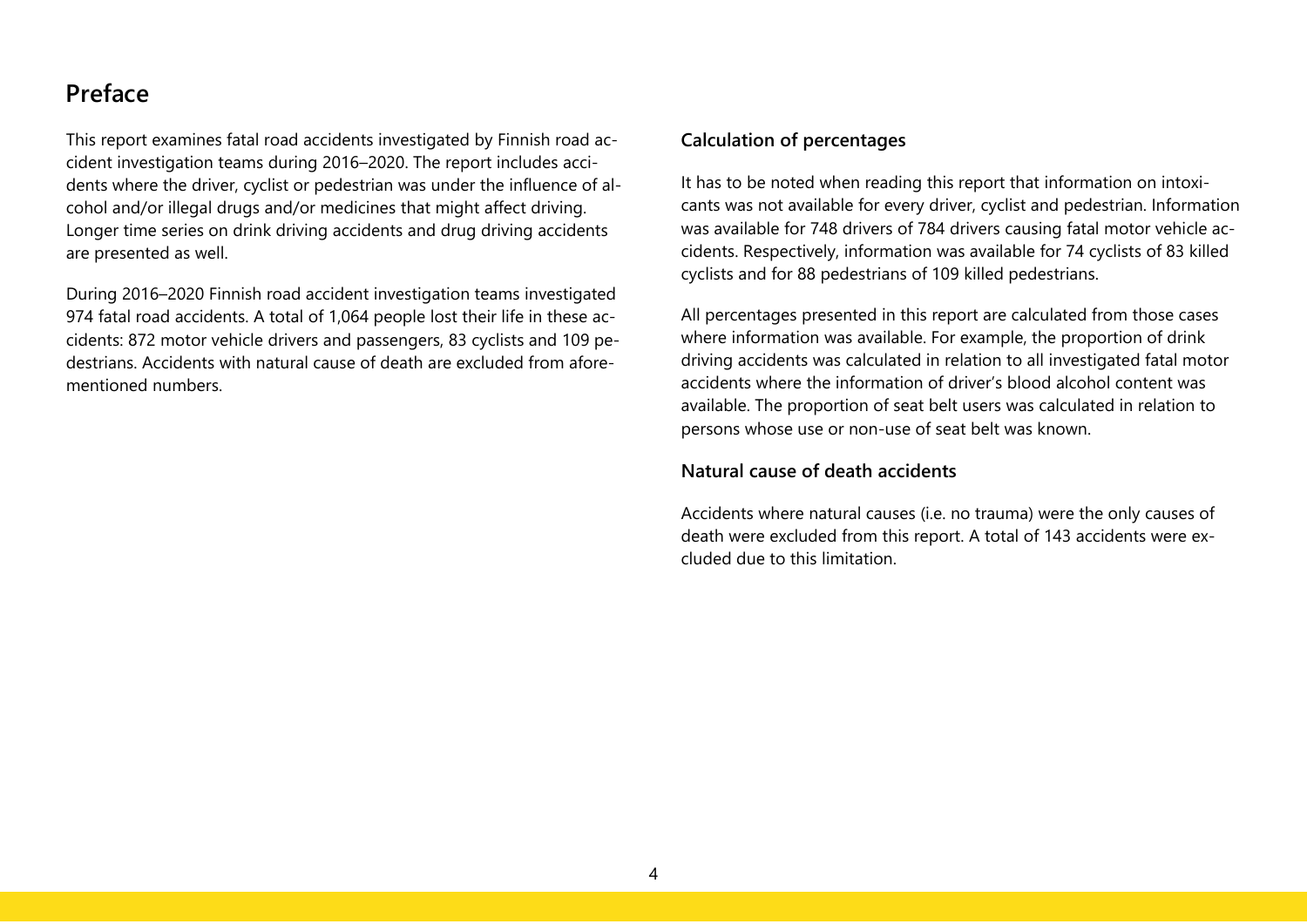# **Preface**

This report examines fatal road accidents investigated by Finnish road accident investigation teams during 2016–2020. The report includes accidents where the driver, cyclist or pedestrian was under the influence of alcohol and/or illegal drugs and/or medicines that might affect driving. Longer time series on drink driving accidents and drug driving accidents are presented as well.

During 2016–2020 Finnish road accident investigation teams investigated 974 fatal road accidents. A total of 1,064 people lost their life in these accidents: 872 motor vehicle drivers and passengers, 83 cyclists and 109 pedestrians. Accidents with natural cause of death are excluded from aforementioned numbers.

#### **Calculation of percentages**

It has to be noted when reading this report that information on intoxicants was not available for every driver, cyclist and pedestrian. Information was available for 748 drivers of 784 drivers causing fatal motor vehicle accidents. Respectively, information was available for 74 cyclists of 83 killed cyclists and for 88 pedestrians of 109 killed pedestrians.

All percentages presented in this report are calculated from those cases where information was available. For example, the proportion of drink driving accidents was calculated in relation to all investigated fatal motor accidents where the information of driver's blood alcohol content was available. The proportion of seat belt users was calculated in relation to persons whose use or non-use of seat belt was known.

#### **Natural cause of death accidents**

Accidents where natural causes (i.e. no trauma) were the only causes of death were excluded from this report. A total of 143 accidents were excluded due to this limitation.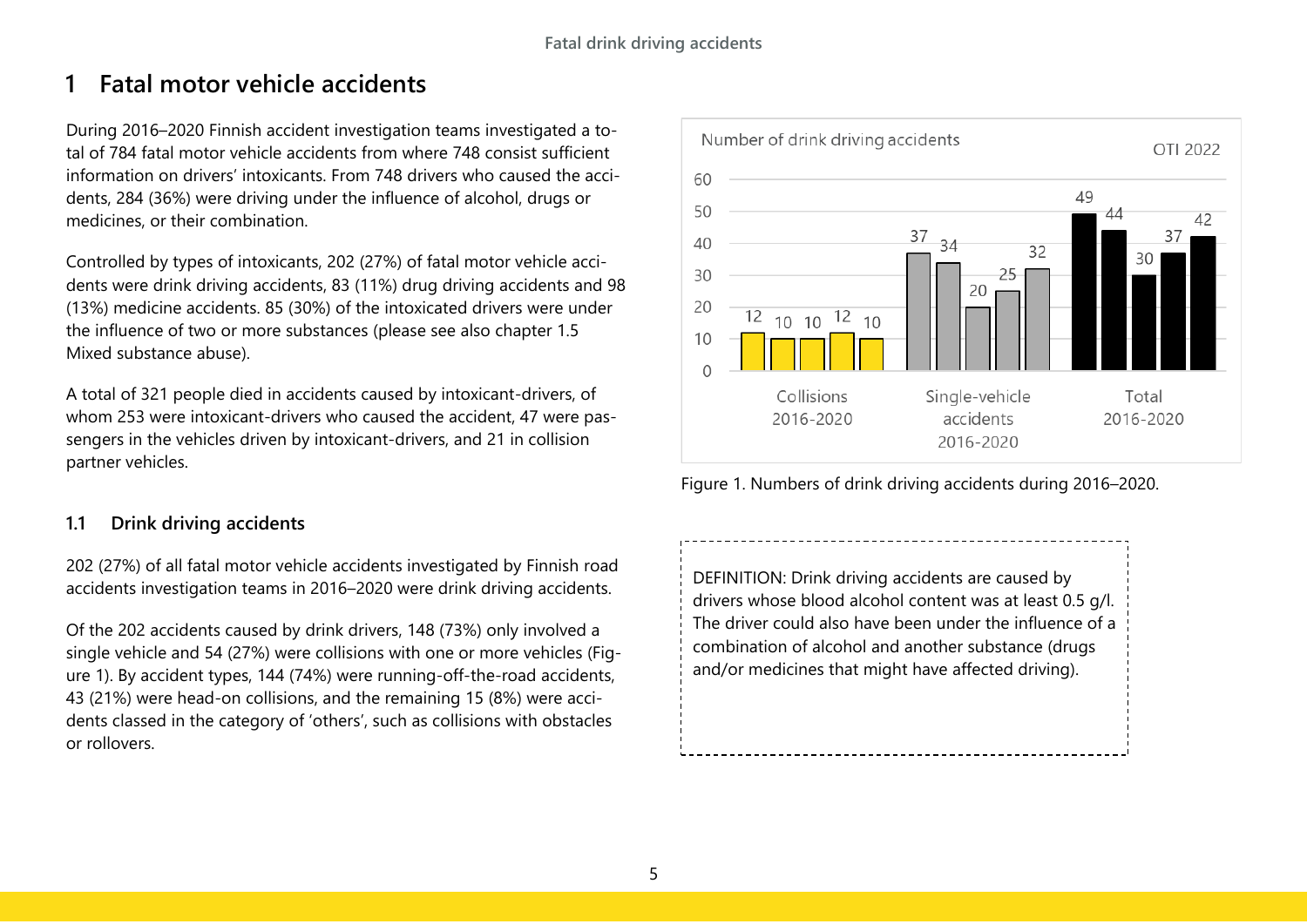# <span id="page-5-0"></span>**1 Fatal motor vehicle accidents**

During 2016–2020 Finnish accident investigation teams investigated a total of 784 fatal motor vehicle accidents from where 748 consist sufficient information on drivers' intoxicants. From 748 drivers who caused the accidents, 284 (36%) were driving under the influence of alcohol, drugs or medicines, or their combination.

Controlled by types of intoxicants, 202 (27%) of fatal motor vehicle accidents were drink driving accidents, 83 (11%) drug driving accidents and 98 (13%) medicine accidents. 85 (30%) of the intoxicated drivers were under the influence of two or more substances (please see also chapter 1.5 Mixed substance abuse).

A total of 321 people died in accidents caused by intoxicant-drivers, of whom 253 were intoxicant-drivers who caused the accident, 47 were passengers in the vehicles driven by intoxicant-drivers, and 21 in collision partner vehicles.

## <span id="page-5-1"></span>**1.1 Drink driving accidents**

202 (27%) of all fatal motor vehicle accidents investigated by Finnish road accidents investigation teams in 2016–2020 were drink driving accidents.

Of the 202 accidents caused by drink drivers, 148 (73%) only involved a single vehicle and 54 (27%) were collisions with one or more vehicles (Figure 1). By accident types, 144 (74%) were running-off-the-road accidents, 43 (21%) were head-on collisions, and the remaining 15 (8%) were accidents classed in the category of 'others', such as collisions with obstacles or rollovers.



<span id="page-5-2"></span>Figure 1. Numbers of drink driving accidents during 2016–2020.

DEFINITION: Drink driving accidents are caused by drivers whose blood alcohol content was at least 0.5 g/l. The driver could also have been under the influence of a combination of alcohol and another substance (drugs and/or medicines that might have affected driving).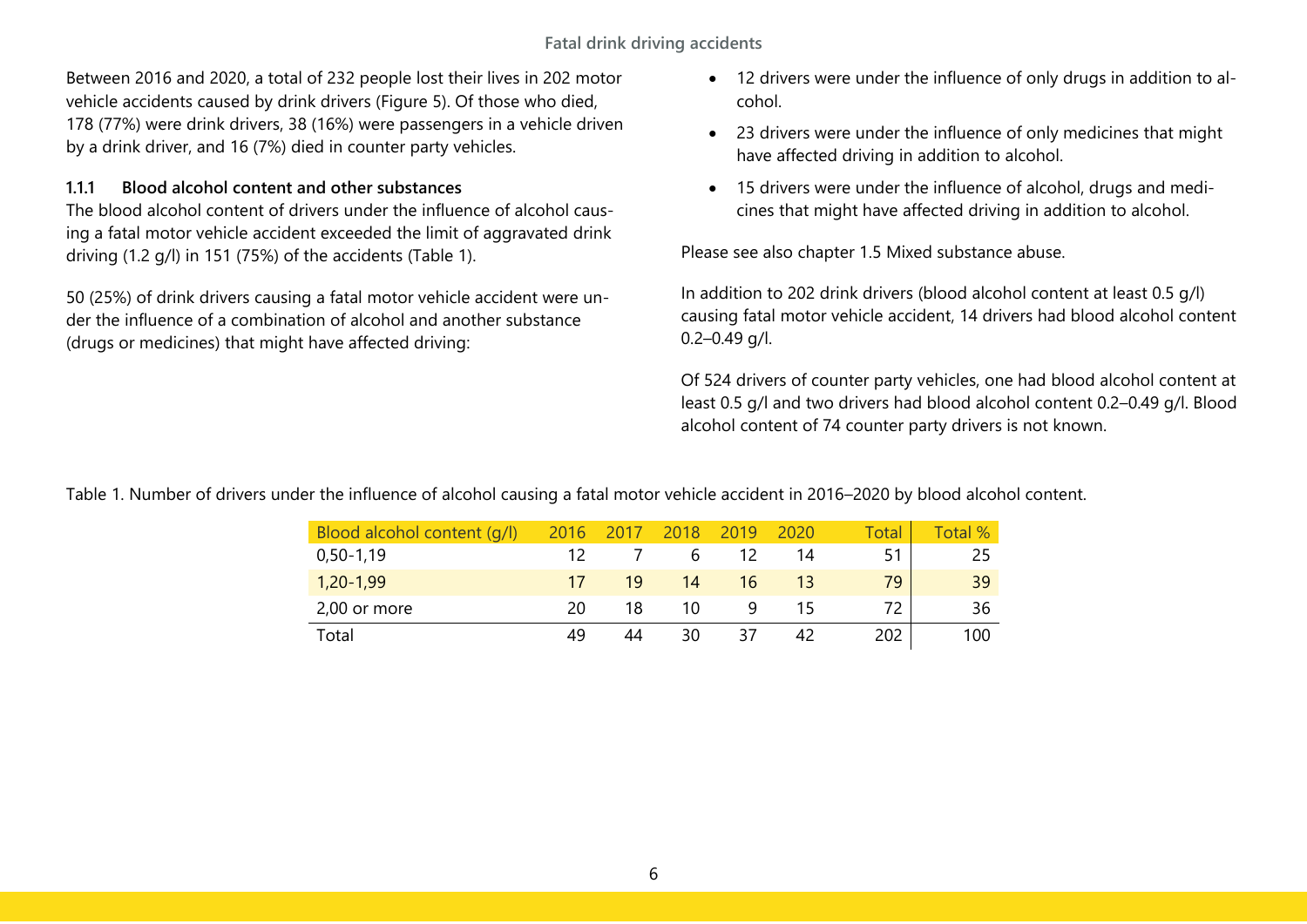**Fatal drink driving accidents**

Between 2016 and 2020, a total of 232 people lost their lives in 202 motor vehicle accidents caused by drink drivers (Figure 5). Of those who died, 178 (77%) were drink drivers, 38 (16%) were passengers in a vehicle driven by a drink driver, and 16 (7%) died in counter party vehicles.

#### <span id="page-6-0"></span>**1.1.1 Blood alcohol content and other substances**

The blood alcohol content of drivers under the influence of alcohol causing a fatal motor vehicle accident exceeded the limit of aggravated drink driving (1.2 g/l) in 151 (75%) of the accidents (Table 1).

50 (25%) of drink drivers causing a fatal motor vehicle accident were under the influence of a combination of alcohol and another substance (drugs or medicines) that might have affected driving:

- 12 drivers were under the influence of only drugs in addition to alcohol.
- 23 drivers were under the influence of only medicines that might have affected driving in addition to alcohol.
- 15 drivers were under the influence of alcohol, drugs and medicines that might have affected driving in addition to alcohol.

Please see also chapter 1.5 Mixed substance abuse.

In addition to 202 drink drivers (blood alcohol content at least 0.5 g/l) causing fatal motor vehicle accident, 14 drivers had blood alcohol content 0.2–0.49 g/l.

Of 524 drivers of counter party vehicles, one had blood alcohol content at least 0.5 g/l and two drivers had blood alcohol content 0.2–0.49 g/l. Blood alcohol content of 74 counter party drivers is not known.

<span id="page-6-1"></span>Table 1. Number of drivers under the influence of alcohol causing a fatal motor vehicle accident in 2016–2020 by blood alcohol content.

| Blood alcohol content (g/l) | 2016 |    | 2018 | 2019 | 2020 | Total | Total % |
|-----------------------------|------|----|------|------|------|-------|---------|
| $0,50-1,19$                 | 12   |    | h    | 12   | 14   | 51    | 25      |
| $1,20-1,99$                 | 17   | 19 | 14   | 16   | 13   | 79    | 39      |
| 2,00 or more                | 20   | 18 | 10   | 9    | 15   | 72.   | 36      |
| Total                       |      | 44 | 30   | 37   |      | 202   | 100     |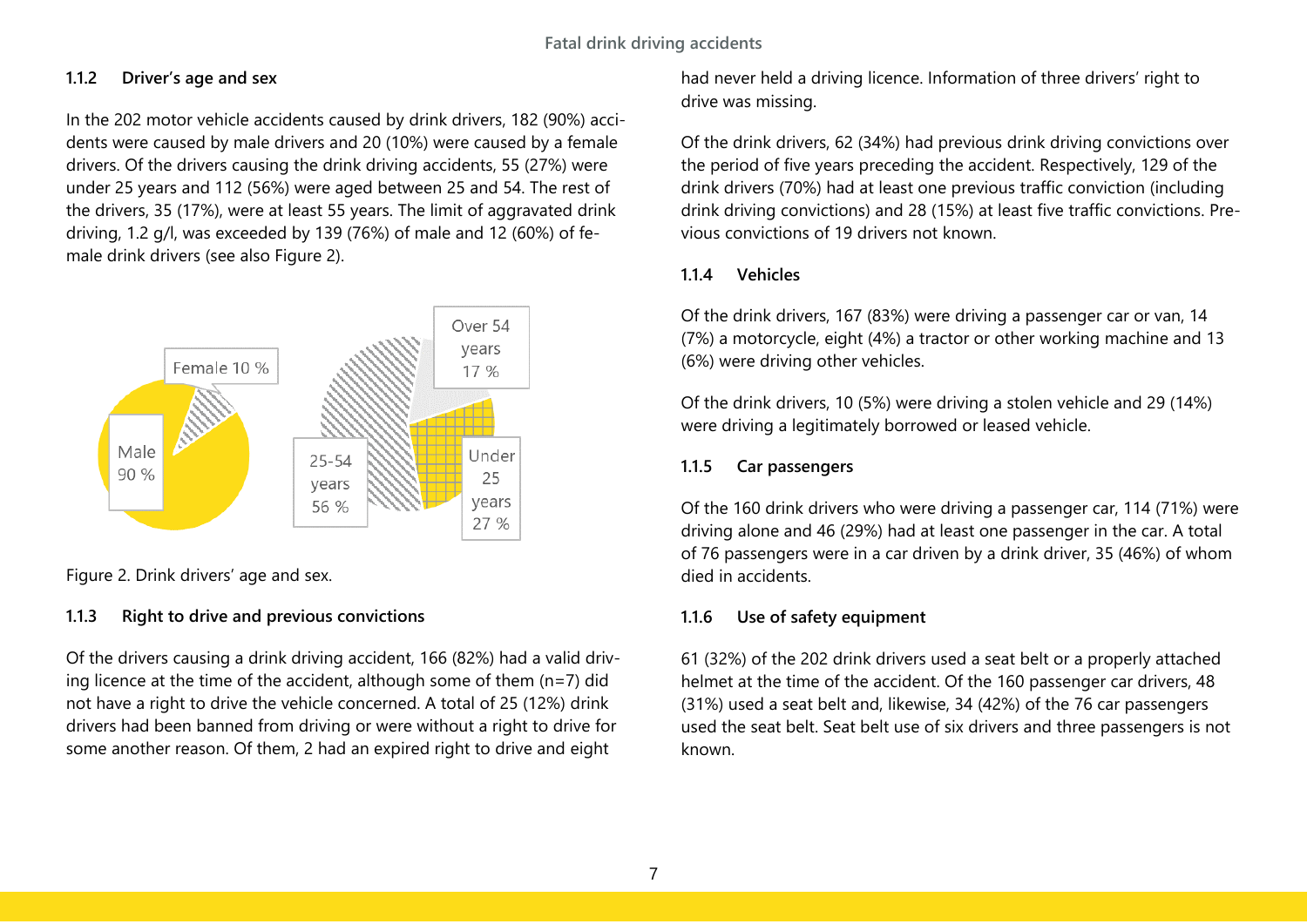#### <span id="page-7-0"></span>**1.1.2 Driver's age and sex**

In the 202 motor vehicle accidents caused by drink drivers, 182 (90%) accidents were caused by male drivers and 20 (10%) were caused by a female drivers. Of the drivers causing the drink driving accidents, 55 (27%) were under 25 years and 112 (56%) were aged between 25 and 54. The rest of the drivers, 35 (17%), were at least 55 years. The limit of aggravated drink driving, 1.2 g/l, was exceeded by 139 (76%) of male and 12 (60%) of female drink drivers (see also Figure 2).



<span id="page-7-5"></span>Figure 2. Drink drivers' age and sex.

#### <span id="page-7-1"></span>**1.1.3 Right to drive and previous convictions**

Of the drivers causing a drink driving accident, 166 (82%) had a valid driving licence at the time of the accident, although some of them (n=7) did not have a right to drive the vehicle concerned. A total of 25 (12%) drink drivers had been banned from driving or were without a right to drive for some another reason. Of them, 2 had an expired right to drive and eight

had never held a driving licence. Information of three drivers' right to drive was missing.

Of the drink drivers, 62 (34%) had previous drink driving convictions over the period of five years preceding the accident. Respectively, 129 of the drink drivers (70%) had at least one previous traffic conviction (including drink driving convictions) and 28 (15%) at least five traffic convictions. Previous convictions of 19 drivers not known.

## <span id="page-7-2"></span>**1.1.4 Vehicles**

Of the drink drivers, 167 (83%) were driving a passenger car or van, 14 (7%) a motorcycle, eight (4%) a tractor or other working machine and 13 (6%) were driving other vehicles.

Of the drink drivers, 10 (5%) were driving a stolen vehicle and 29 (14%) were driving a legitimately borrowed or leased vehicle.

## <span id="page-7-3"></span>**1.1.5 Car passengers**

Of the 160 drink drivers who were driving a passenger car, 114 (71%) were driving alone and 46 (29%) had at least one passenger in the car. A total of 76 passengers were in a car driven by a drink driver, 35 (46%) of whom died in accidents.

## <span id="page-7-4"></span>**1.1.6 Use of safety equipment**

61 (32%) of the 202 drink drivers used a seat belt or a properly attached helmet at the time of the accident. Of the 160 passenger car drivers, 48 (31%) used a seat belt and, likewise, 34 (42%) of the 76 car passengers used the seat belt. Seat belt use of six drivers and three passengers is not known.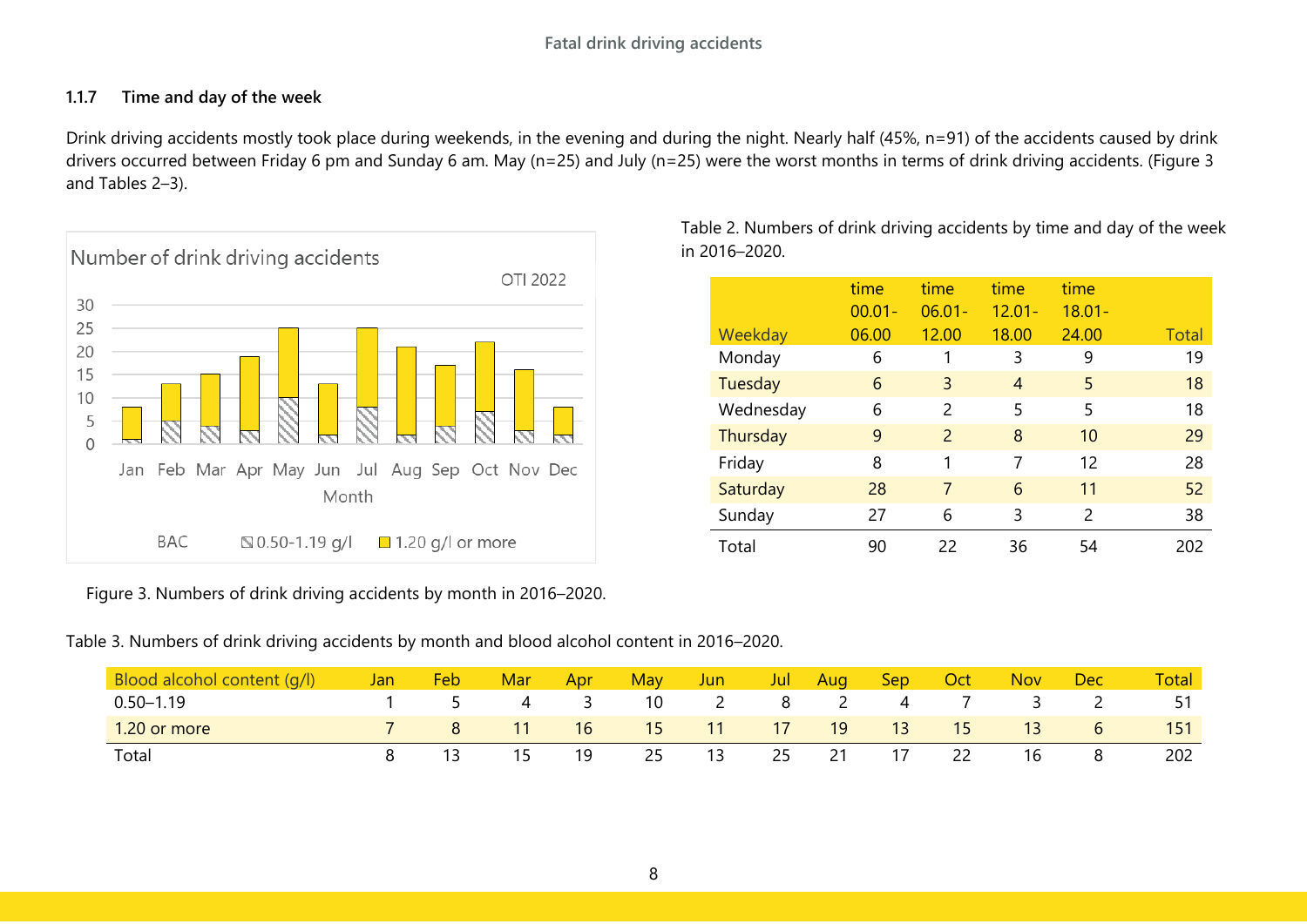## <span id="page-8-0"></span>**1.1.7 Time and day of the week**

Drink driving accidents mostly took place during weekends, in the evening and during the night. Nearly half (45%, n=91) of the accidents caused by drink drivers occurred between Friday 6 pm and Sunday 6 am. May (n=25) and July (n=25) were the worst months in terms of drink driving accidents. (Figure 3 and Tables 2–3).



<span id="page-8-1"></span>Figure 3. Numbers of drink driving accidents by month in 2016–2020.

<span id="page-8-3"></span>Table 3. Numbers of drink driving accidents by month and blood alcohol content in 2016–2020.

| Blood alcohol content (g/l) | Jan | Feb | Mar | Apr | Mav | Jun. | Jul | Aug | Sep/ | Oct | <b>Nov</b> | Dec | <b>Total</b> |
|-----------------------------|-----|-----|-----|-----|-----|------|-----|-----|------|-----|------------|-----|--------------|
| $0.50 - 1.19$               |     |     |     |     | 10  |      | ୪   |     | 4    |     |            |     |              |
| 1.20 or more                |     |     |     | 16  | 15  | 11   | 17  | 19  | 13   | 15  | 13         |     | 151          |
| Total                       |     |     |     | 19  | 25  | 13   | 25  | 21  | 17   | 22  | 16         |     | 202          |

<span id="page-8-2"></span>Table 2. Numbers of drink driving accidents by time and day of the week in 2016–2020.

|           | time<br>$00.01 -$ | time<br>$06.01 -$ | time<br>$12.01 -$ | time<br>$18.01 -$ |              |
|-----------|-------------------|-------------------|-------------------|-------------------|--------------|
| Weekday   | 06.00             | 12.00             | 18.00             | 24.00             | <b>Total</b> |
| Monday    | 6                 |                   | 3                 | 9                 | 19           |
| Tuesday   | 6                 | 3                 | $\overline{4}$    | 5                 | 18           |
| Wednesday | 6                 | 2                 | 5                 | 5                 | 18           |
| Thursday  | 9                 | 2                 | 8                 | 10                | 29           |
| Friday    | 8                 | 1                 | 7                 | 12                | 28           |
| Saturday  | 28                | 7                 | 6                 | 11                | 52           |
| Sunday    | 27                | 6                 | 3                 | $\mathcal{P}$     | 38           |
| Total     | 90                | 22                | 36                | 54                | 202          |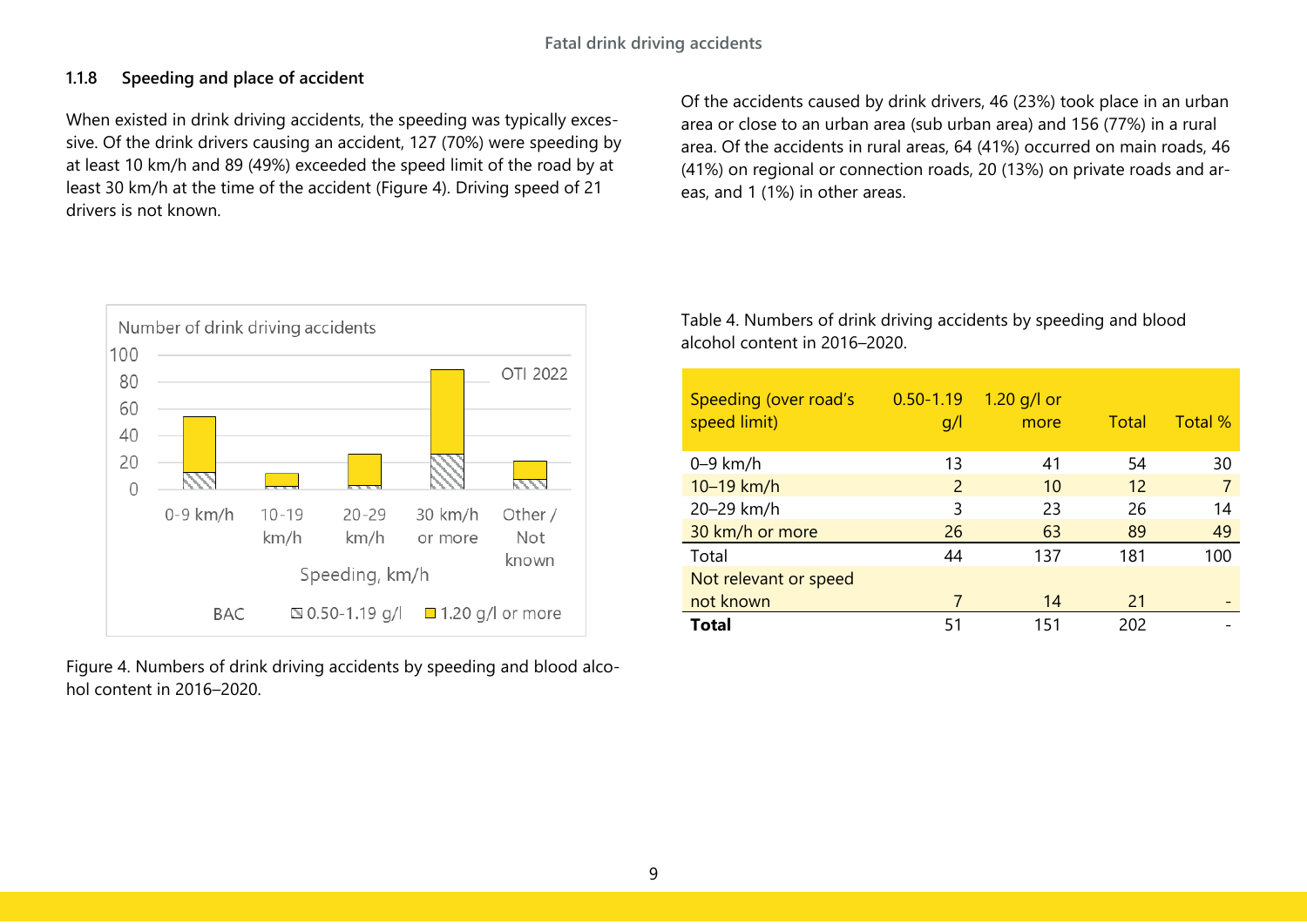## <span id="page-9-0"></span>**1.1.8 Speeding and place of accident**

When existed in drink driving accidents, the speeding was typically excessive. Of the drink drivers causing an accident, 127 (70%) were speeding by at least 10 km/h and 89 (49%) exceeded the speed limit of the road by at least 30 km/h at the time of the accident (Figure 4). Driving speed of 21 drivers is not known.



<span id="page-9-1"></span>Figure 4. Numbers of drink driving accidents by speeding and blood alcohol content in 2016–2020.

Of the accidents caused by drink drivers, 46 (23%) took place in an urban area or close to an urban area (sub urban area) and 156 (77%) in a rural area. Of the accidents in rural areas, 64 (41%) occurred on main roads, 46 (41%) on regional or connection roads, 20 (13%) on private roads and areas, and 1 (1%) in other areas.

<span id="page-9-2"></span>Table 4. Numbers of drink driving accidents by speeding and blood alcohol content in 2016–2020.

| Speeding (over road's<br>speed limit) | $0.50 - 1.19$<br>g/l | $1.20$ g/l or<br>more | Total | Total % |
|---------------------------------------|----------------------|-----------------------|-------|---------|
| $0-9$ km/h                            | 13                   | 41                    | 54    | 30      |
| 10-19 km/h                            | 2                    | 10                    | 12    |         |
| 20-29 km/h                            | 3                    | 23                    | 26    | 14      |
| 30 km/h or more                       | 26                   | 63                    | 89    | 49      |
| Total                                 | 44                   | 137                   | 181   | 100     |
| Not relevant or speed                 |                      |                       |       |         |
| not known                             |                      | 14                    | 21    |         |
| <b>Total</b>                          | 51                   | 151                   | 202   |         |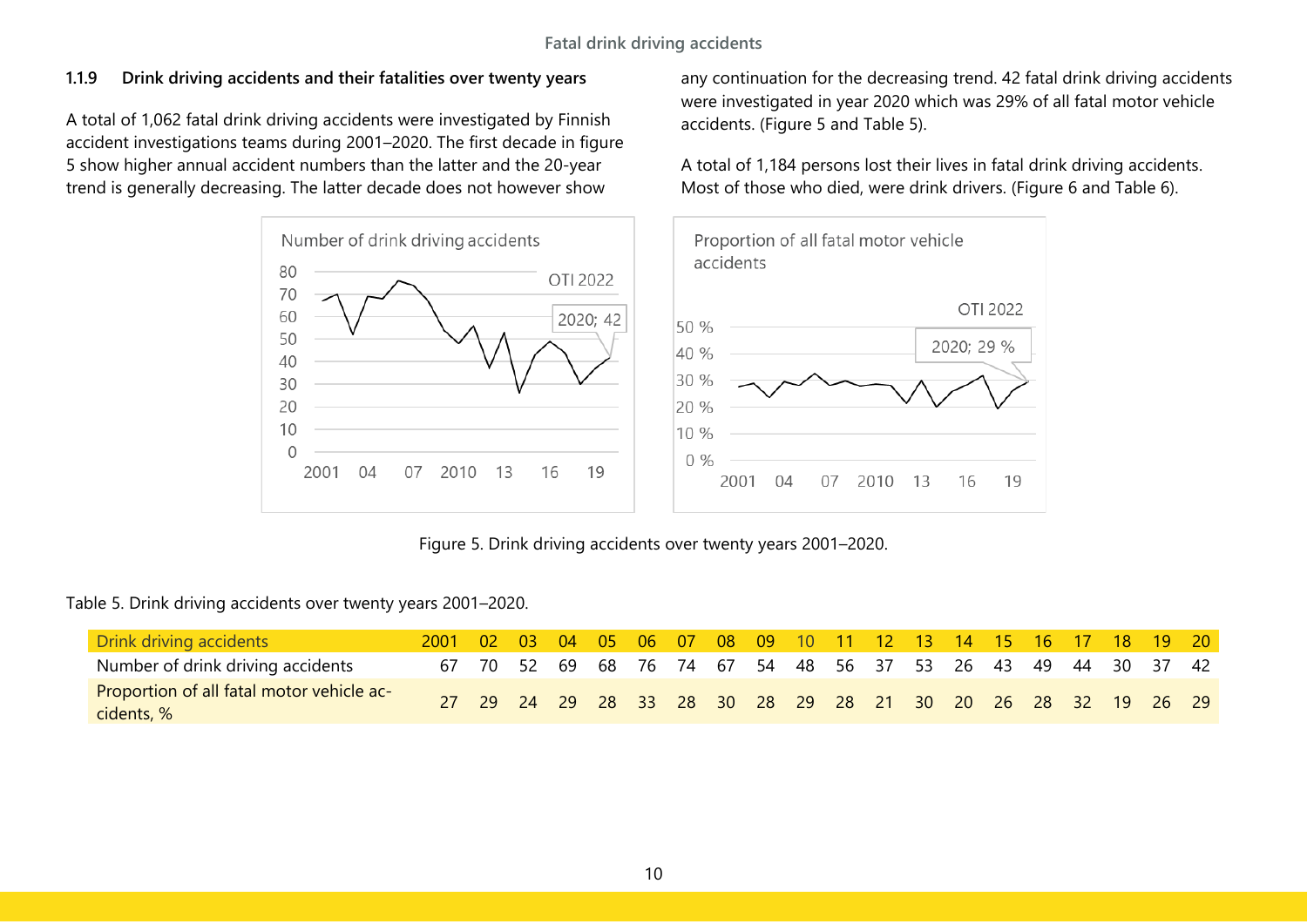## <span id="page-10-0"></span>**1.1.9 Drink driving accidents and their fatalities over twenty years**

A total of 1,062 fatal drink driving accidents were investigated by Finnish accident investigations teams during 2001–2020. The first decade in figure 5 show higher annual accident numbers than the latter and the 20-year trend is generally decreasing. The latter decade does not however show

> Number of drink driving accidents Proportion of all fatal motor vehicle accidents 80 OTI 2022 70 60 2020; 42 50 % 50 40 % 40 30 % 30 20 20 %  $10$ 10 %  $\mathbf 0$  $0%$ 2001 04 07 2010 13 16 19 2001 04 07 2010 13

Figure 5. Drink driving accidents over twenty years 2001–2020.

<span id="page-10-2"></span><span id="page-10-1"></span>Table 5. Drink driving accidents over twenty years 2001–2020.

| <b>Drink driving accidents</b>                          | 2001 02 03 04 05 06 07 08 09 10 11 12 13 14 15 16 17 18 19 20 |  |  |  |  |  |  |                                                             |  |  |  |
|---------------------------------------------------------|---------------------------------------------------------------|--|--|--|--|--|--|-------------------------------------------------------------|--|--|--|
| Number of drink driving accidents                       |                                                               |  |  |  |  |  |  | 67 70 52 69 68 76 74 67 54 48 56 37 53 26 43 49 44 30 37 42 |  |  |  |
| Proportion of all fatal motor vehicle ac-<br>cidents, % |                                                               |  |  |  |  |  |  | 27 29 24 29 28 33 28 30 28 29 28 21 30 20 26 28 32 19 26 29 |  |  |  |

any continuation for the decreasing trend. 42 fatal drink driving accidents were investigated in year 2020 which was 29% of all fatal motor vehicle accidents. (Figure 5 and Table 5).

OTI 2022

2020: 29 %

16

19

A total of 1,184 persons lost their lives in fatal drink driving accidents. Most of those who died, were drink drivers. (Figure 6 and Table 6).

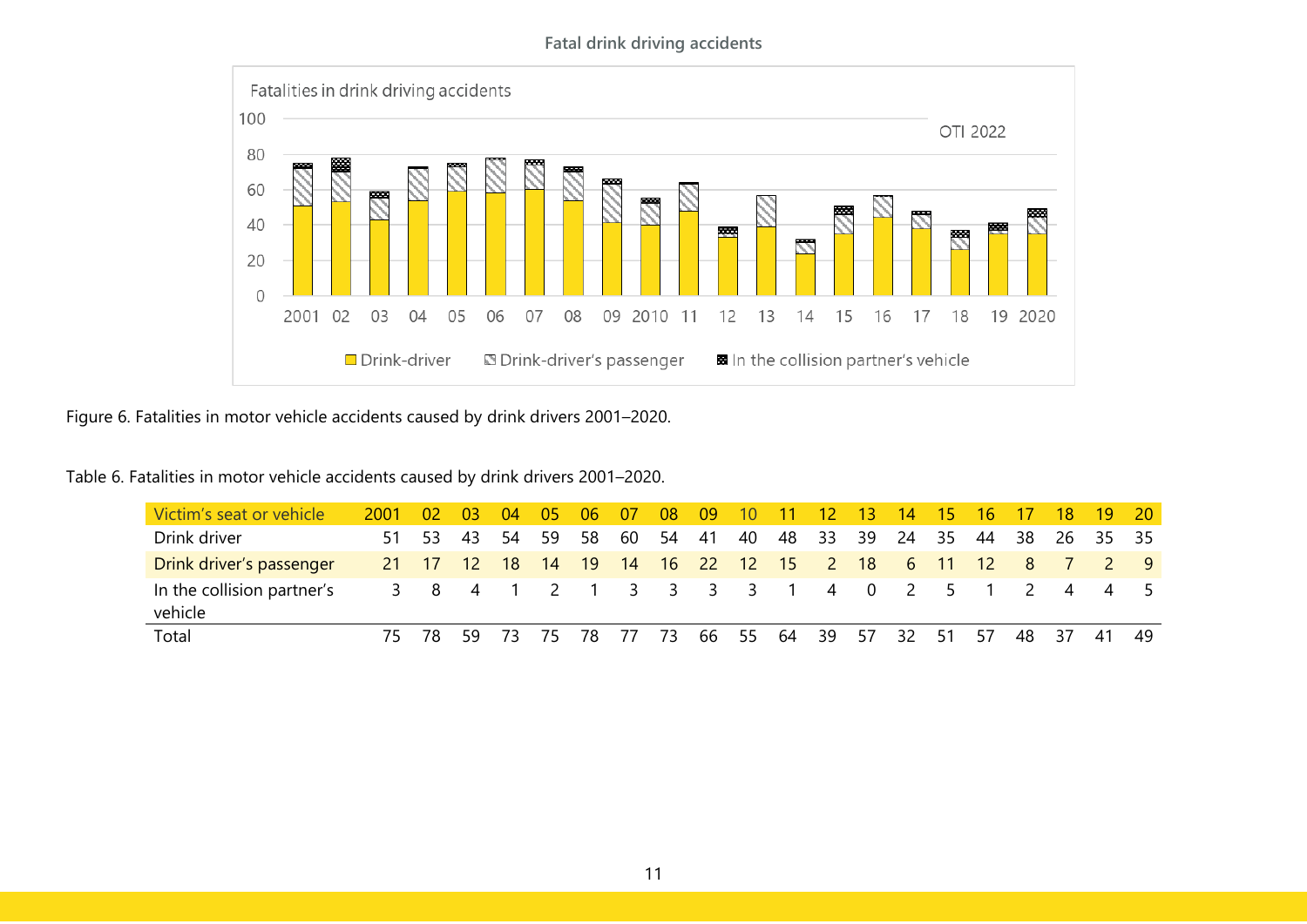#### **Fatal drink driving accidents**



<span id="page-11-0"></span>Figure 6. Fatalities in motor vehicle accidents caused by drink drivers 2001–2020.

<span id="page-11-1"></span>Table 6. Fatalities in motor vehicle accidents caused by drink drivers 2001–2020.

| Victim's seat or vehicle              | 2001 | -02   | <b>03</b> | -04         | 05           | 06 | -07          | 08   | -09       | 10 |       | $-12$          | 13.             | 14             | /15/  | 16    |                | 18                       | -19            | - 20- |
|---------------------------------------|------|-------|-----------|-------------|--------------|----|--------------|------|-----------|----|-------|----------------|-----------------|----------------|-------|-------|----------------|--------------------------|----------------|-------|
| Drink driver                          | 51   | 53.   | -43       | 54          | - 59         | 58 | 60           | 54   | 41        | 40 | 48 33 |                | -39             | 24             | 35    | 44    | 38             |                          | 26 35          | - 35  |
| Drink driver's passenger              |      | 21 17 | $-12$     | 18          | $ 14\rangle$ | 19 | $ 14\rangle$ | 16   | 22 12     |    | 15    | $\overline{2}$ | 18 <sup>°</sup> | -6             | $-11$ | $-12$ | 8 <sup>7</sup> | $\overline{\phantom{a}}$ | $\sim$ 2       | - 9   |
| In the collision partner's<br>vehicle |      | 3 8 4 |           | $1 \quad 2$ |              |    |              |      | 3 3 3 3 1 |    |       |                | 40              | $\overline{2}$ | - 5   |       | $\mathcal{L}$  | -4                       | $\overline{4}$ |       |
| Total                                 | 75.  | -78   | 59        | 73          | 75           | 78 | -77          | - 73 | 66        | 55 | 64    | - 39           | 57              | 32             | 51    | 57    | 48 37          |                          | -41            | -49   |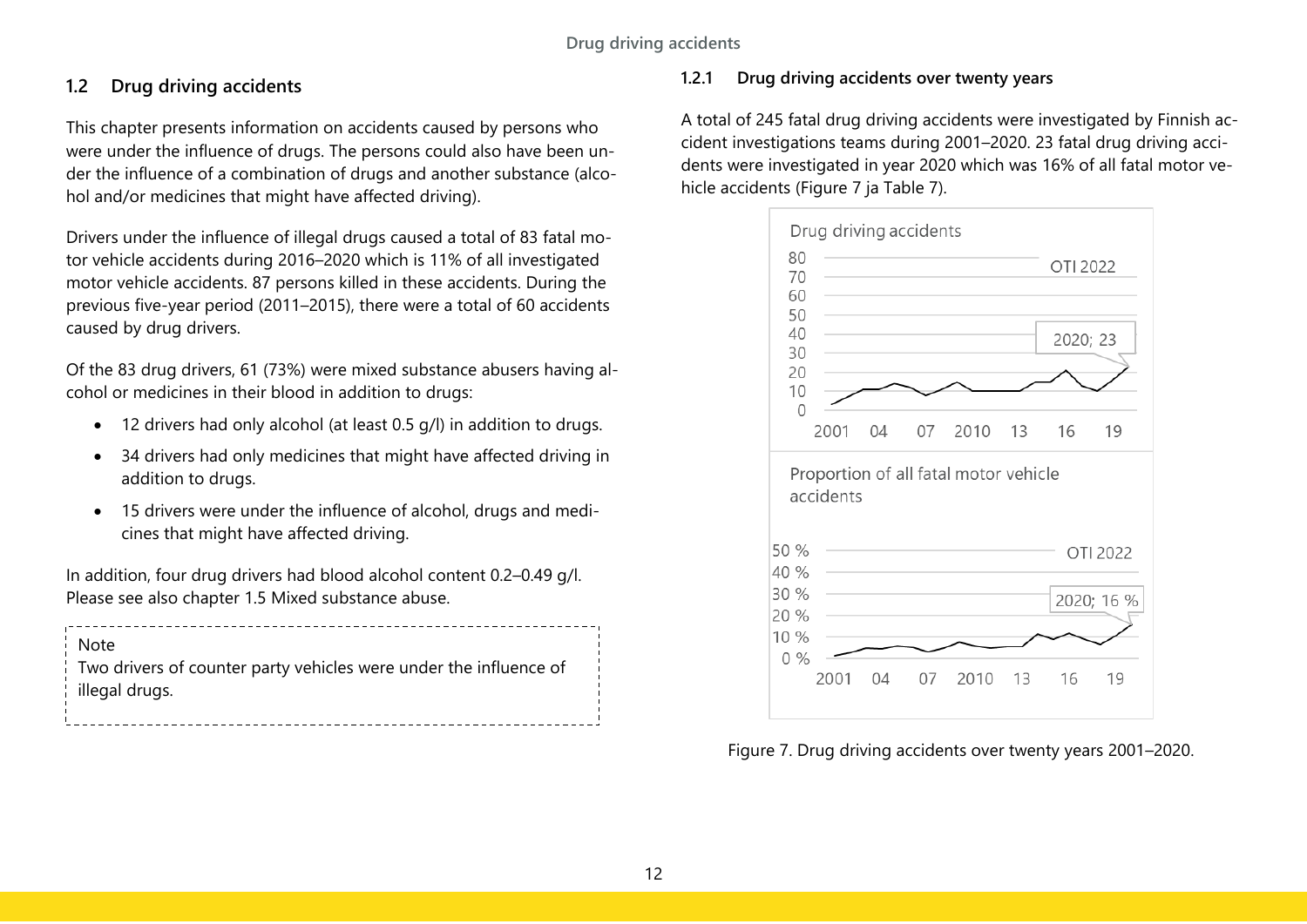# <span id="page-12-0"></span>**1.2 Drug driving accidents**

This chapter presents information on accidents caused by persons who were under the influence of drugs. The persons could also have been under the influence of a combination of drugs and another substance (alcohol and/or medicines that might have affected driving).

Drivers under the influence of illegal drugs caused a total of 83 fatal motor vehicle accidents during 2016–2020 which is 11% of all investigated motor vehicle accidents. 87 persons killed in these accidents. During the previous five-year period (2011–2015), there were a total of 60 accidents caused by drug drivers.

Of the 83 drug drivers, 61 (73%) were mixed substance abusers having alcohol or medicines in their blood in addition to drugs:

- 12 drivers had only alcohol (at least 0.5 g/l) in addition to drugs.
- 34 drivers had only medicines that might have affected driving in addition to drugs.
- 15 drivers were under the influence of alcohol, drugs and medicines that might have affected driving.

In addition, four drug drivers had blood alcohol content 0.2–0.49 g/l. Please see also chapter 1.5 Mixed substance abuse.

| <sup>i</sup> Note                                                               |  |
|---------------------------------------------------------------------------------|--|
| $\frac{1}{2}$ Two drivers of counter party vehicles were under the influence of |  |
| $\frac{1}{2}$ illegal drugs.                                                    |  |
|                                                                                 |  |

## <span id="page-12-1"></span>**1.2.1 Drug driving accidents over twenty years**

A total of 245 fatal drug driving accidents were investigated by Finnish accident investigations teams during 2001–2020. 23 fatal drug driving accidents were investigated in year 2020 which was 16% of all fatal motor vehicle accidents (Figure 7 ja Table 7).



<span id="page-12-2"></span>Figure 7. Drug driving accidents over twenty years 2001–2020.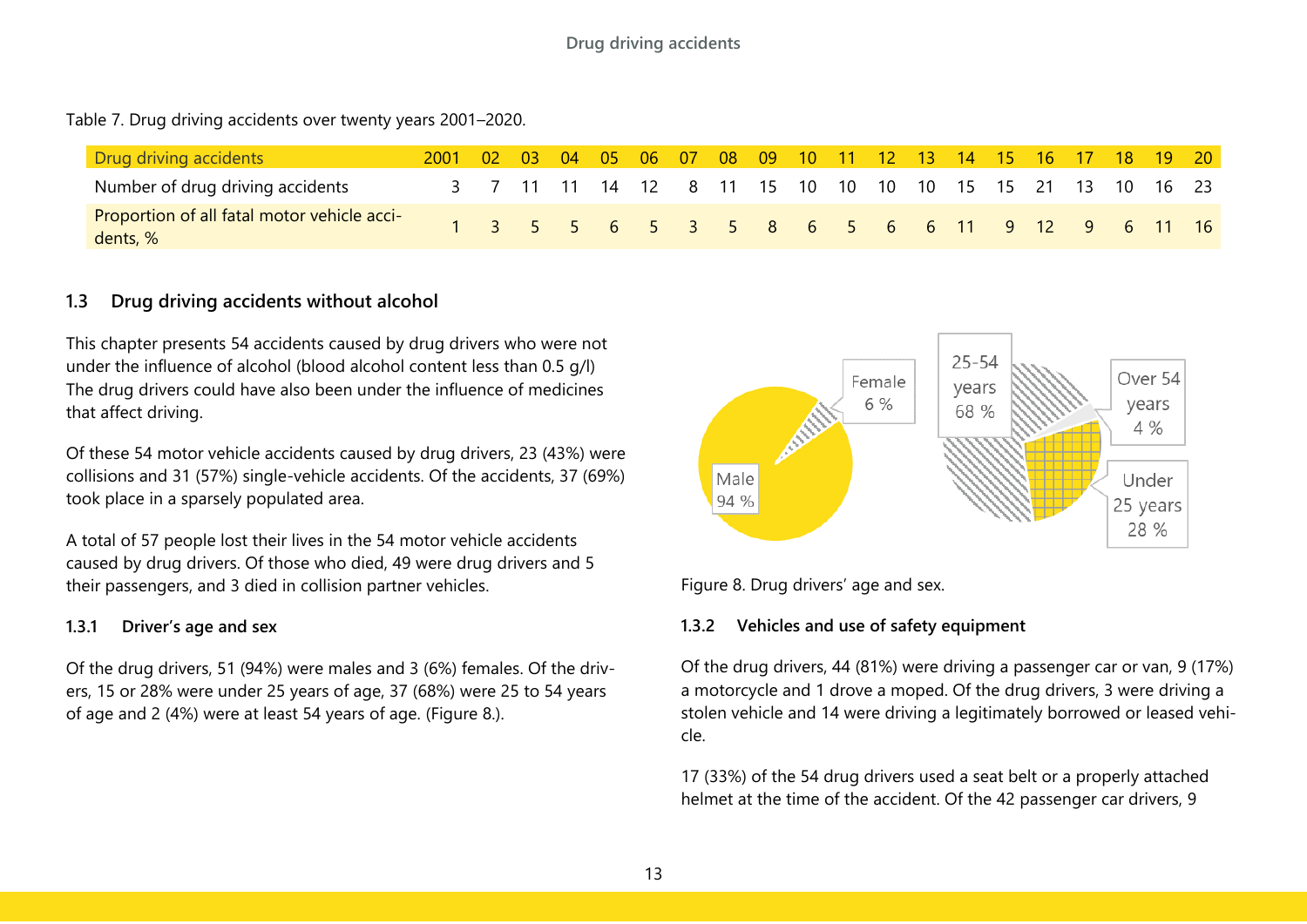<span id="page-13-4"></span>Table 7. Drug driving accidents over twenty years 2001–2020.

| <b>Drug driving accidents</b>                           | 2001 02 03 04 05 06 07 08 09 10 11 12 13 14 15 16 17 18 19 20 |  |  |  |  |  |                                                          |  |  |  |  |
|---------------------------------------------------------|---------------------------------------------------------------|--|--|--|--|--|----------------------------------------------------------|--|--|--|--|
| Number of drug driving accidents                        |                                                               |  |  |  |  |  | 3 7 11 11 14 12 8 11 15 10 10 10 10 15 15 21 13 10 16 23 |  |  |  |  |
| Proportion of all fatal motor vehicle acci-<br>dents, % |                                                               |  |  |  |  |  | 1 3 5 5 6 5 3 5 8 6 5 6 6 11 9 12 9 6 11 16              |  |  |  |  |

## <span id="page-13-0"></span>**1.3 Drug driving accidents without alcohol**

This chapter presents 54 accidents caused by drug drivers who were not under the influence of alcohol (blood alcohol content less than 0.5 g/l) The drug drivers could have also been under the influence of medicines that affect driving.

Of these 54 motor vehicle accidents caused by drug drivers, 23 (43%) were collisions and 31 (57%) single-vehicle accidents. Of the accidents, 37 (69%) took place in a sparsely populated area.

A total of 57 people lost their lives in the 54 motor vehicle accidents caused by drug drivers. Of those who died, 49 were drug drivers and 5 their passengers, and 3 died in collision partner vehicles.

#### <span id="page-13-1"></span>**1.3.1 Driver's age and sex**

Of the drug drivers, 51 (94%) were males and 3 (6%) females. Of the drivers, 15 or 28% were under 25 years of age, 37 (68%) were 25 to 54 years of age and 2 (4%) were at least 54 years of age. (Figure 8.).



<span id="page-13-3"></span>Figure 8. Drug drivers' age and sex.

#### <span id="page-13-2"></span>**1.3.2 Vehicles and use of safety equipment**

Of the drug drivers, 44 (81%) were driving a passenger car or van, 9 (17%) a motorcycle and 1 drove a moped. Of the drug drivers, 3 were driving a stolen vehicle and 14 were driving a legitimately borrowed or leased vehicle.

17 (33%) of the 54 drug drivers used a seat belt or a properly attached helmet at the time of the accident. Of the 42 passenger car drivers, 9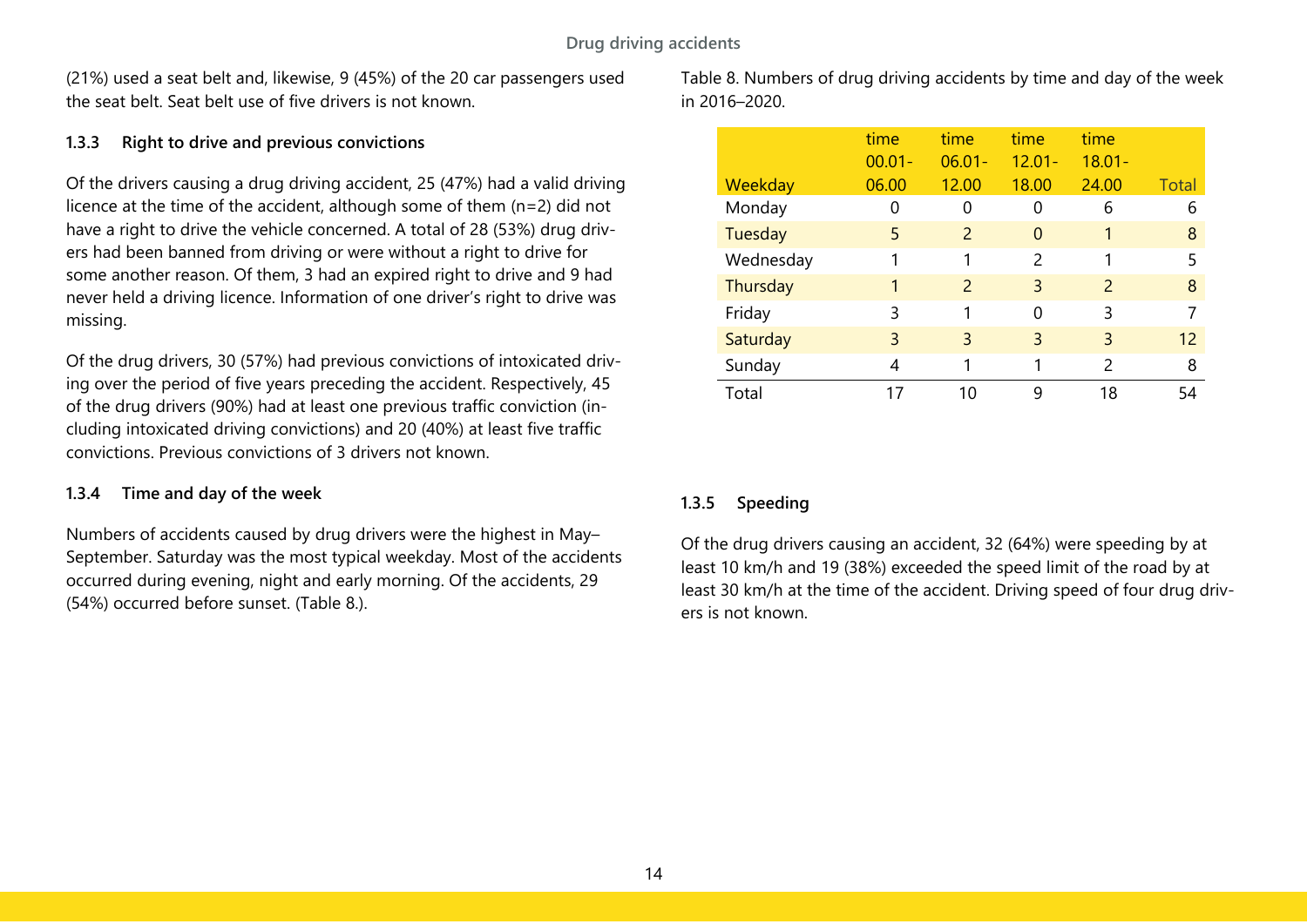(21%) used a seat belt and, likewise, 9 (45%) of the 20 car passengers used the seat belt. Seat belt use of five drivers is not known.

#### <span id="page-14-0"></span>**1.3.3 Right to drive and previous convictions**

Of the drivers causing a drug driving accident, 25 (47%) had a valid driving licence at the time of the accident, although some of them (n=2) did not have a right to drive the vehicle concerned. A total of 28 (53%) drug drivers had been banned from driving or were without a right to drive for some another reason. Of them, 3 had an expired right to drive and 9 had never held a driving licence. Information of one driver's right to drive was missing.

Of the drug drivers, 30 (57%) had previous convictions of intoxicated driving over the period of five years preceding the accident. Respectively, 45 of the drug drivers (90%) had at least one previous traffic conviction (including intoxicated driving convictions) and 20 (40%) at least five traffic convictions. Previous convictions of 3 drivers not known.

#### <span id="page-14-1"></span>**1.3.4 Time and day of the week**

Numbers of accidents caused by drug drivers were the highest in May– September. Saturday was the most typical weekday. Most of the accidents occurred during evening, night and early morning. Of the accidents, 29 (54%) occurred before sunset. (Table 8.).

<span id="page-14-3"></span>Table 8. Numbers of drug driving accidents by time and day of the week in 2016–2020.

|           | time<br>$00.01 -$ | time<br>$06.01 -$ | time<br>$12.01 -$ | time<br>$18.01 -$ |       |
|-----------|-------------------|-------------------|-------------------|-------------------|-------|
| Weekday   | 06.00             | 12.00             | 18.00             | 24.00             | Total |
| Monday    | 0                 | U                 | 0                 | 6                 | 6     |
| Tuesday   | 5                 | 2                 | 0                 | 1                 | 8     |
| Wednesday |                   | 1                 | $\mathcal{P}$     |                   | 5     |
| Thursday  | 1                 | 2                 | 3                 | $\mathcal{P}$     | 8     |
| Friday    | 3                 | 1                 | 0                 | 3                 | 7     |
| Saturday  | 3                 | 3                 | 3                 | 3                 | 12    |
| Sunday    | 4                 | 1                 |                   | 2                 | 8     |
| Total     | 17                | 10                | 9                 | 18                | 54    |

#### <span id="page-14-2"></span>**1.3.5 Speeding**

Of the drug drivers causing an accident, 32 (64%) were speeding by at least 10 km/h and 19 (38%) exceeded the speed limit of the road by at least 30 km/h at the time of the accident. Driving speed of four drug drivers is not known.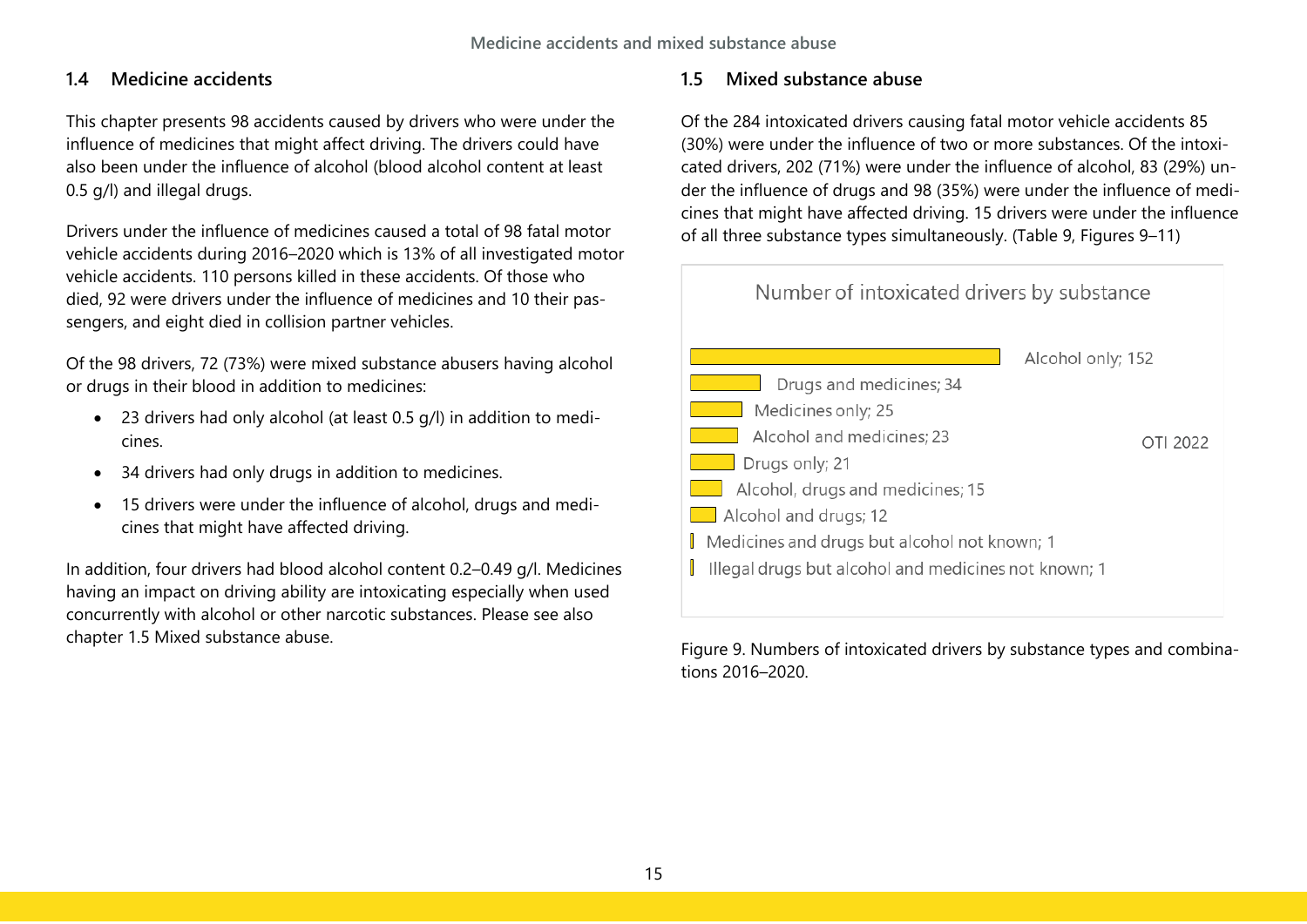## <span id="page-15-0"></span>**1.4 Medicine accidents**

This chapter presents 98 accidents caused by drivers who were under the influence of medicines that might affect driving. The drivers could have also been under the influence of alcohol (blood alcohol content at least 0.5 g/l) and illegal drugs.

Drivers under the influence of medicines caused a total of 98 fatal motor vehicle accidents during 2016–2020 which is 13% of all investigated motor vehicle accidents. 110 persons killed in these accidents. Of those who died, 92 were drivers under the influence of medicines and 10 their passengers, and eight died in collision partner vehicles.

Of the 98 drivers, 72 (73%) were mixed substance abusers having alcohol or drugs in their blood in addition to medicines:

- 23 drivers had only alcohol (at least 0.5 g/l) in addition to medicines.
- 34 drivers had only drugs in addition to medicines.
- 15 drivers were under the influence of alcohol, drugs and medicines that might have affected driving.

In addition, four drivers had blood alcohol content 0.2–0.49 g/l. Medicines having an impact on driving ability are intoxicating especially when used concurrently with alcohol or other narcotic substances. Please see also chapter 1.5 Mixed substance abuse.

# <span id="page-15-1"></span>**1.5 Mixed substance abuse**

Of the 284 intoxicated drivers causing fatal motor vehicle accidents 85 (30%) were under the influence of two or more substances. Of the intoxicated drivers, 202 (71%) were under the influence of alcohol, 83 (29%) under the influence of drugs and 98 (35%) were under the influence of medicines that might have affected driving. 15 drivers were under the influence of all three substance types simultaneously. (Table 9, Figures 9–11)



<span id="page-15-2"></span>Figure 9. Numbers of intoxicated drivers by substance types and combinations 2016–2020.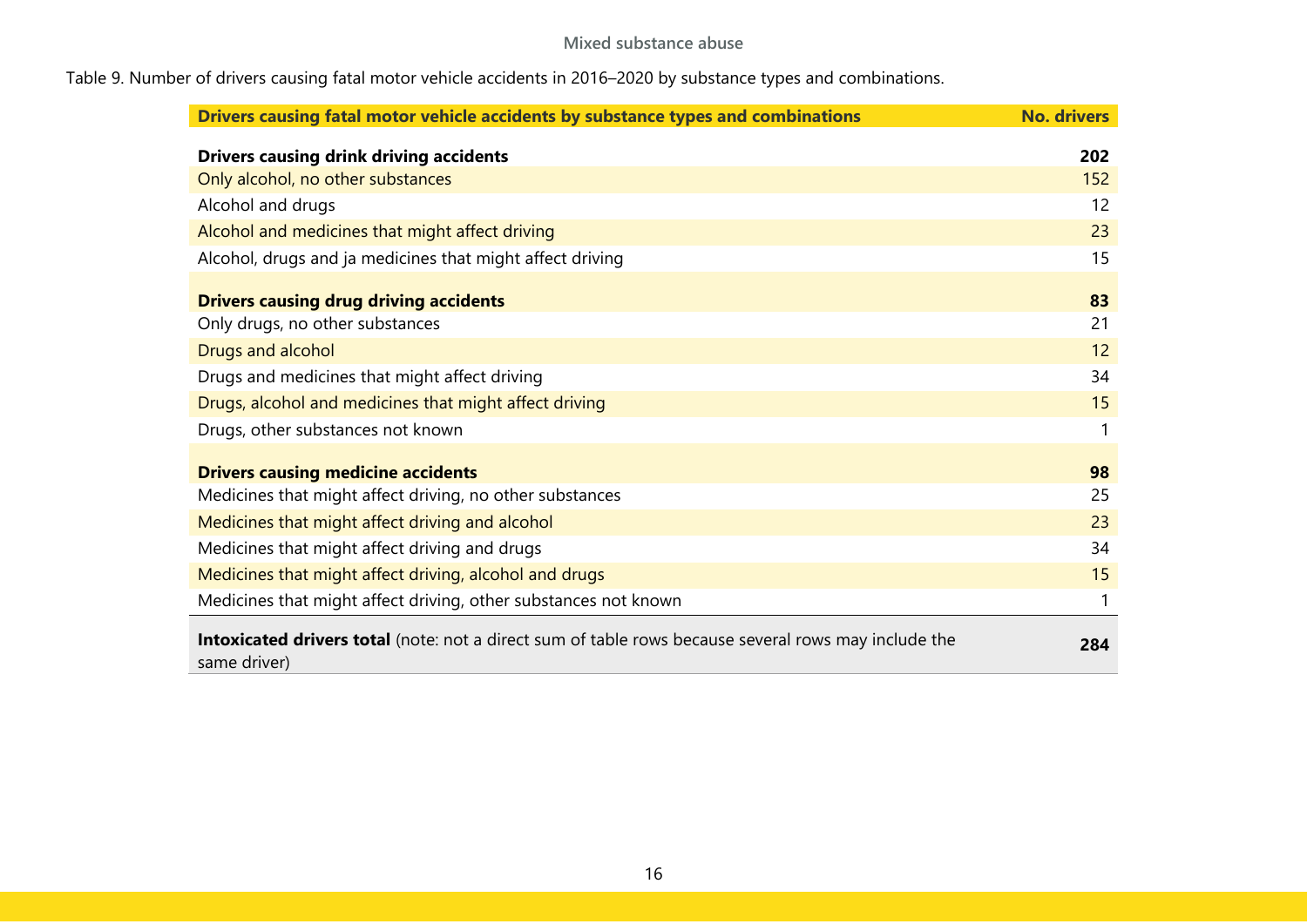# <span id="page-16-0"></span>Table 9. Number of drivers causing fatal motor vehicle accidents in 2016–2020 by substance types and combinations.

| Drivers causing fatal motor vehicle accidents by substance types and combinations                                    | <b>No. drivers</b> |  |
|----------------------------------------------------------------------------------------------------------------------|--------------------|--|
| <b>Drivers causing drink driving accidents</b>                                                                       | 202                |  |
| Only alcohol, no other substances                                                                                    | 152                |  |
| Alcohol and drugs                                                                                                    | 12                 |  |
| Alcohol and medicines that might affect driving                                                                      | 23                 |  |
| Alcohol, drugs and ja medicines that might affect driving                                                            | 15                 |  |
| <b>Drivers causing drug driving accidents</b><br>Only drugs, no other substances                                     | 83<br>21           |  |
| Drugs and alcohol                                                                                                    |                    |  |
| Drugs and medicines that might affect driving                                                                        | 34                 |  |
| Drugs, alcohol and medicines that might affect driving                                                               |                    |  |
| Drugs, other substances not known                                                                                    | 1                  |  |
| <b>Drivers causing medicine accidents</b><br>Medicines that might affect driving, no other substances                | 98<br>25           |  |
| Medicines that might affect driving and alcohol                                                                      | 23                 |  |
| Medicines that might affect driving and drugs                                                                        |                    |  |
| Medicines that might affect driving, alcohol and drugs                                                               |                    |  |
| Medicines that might affect driving, other substances not known                                                      | 1                  |  |
| Intoxicated drivers total (note: not a direct sum of table rows because several rows may include the<br>same driver) |                    |  |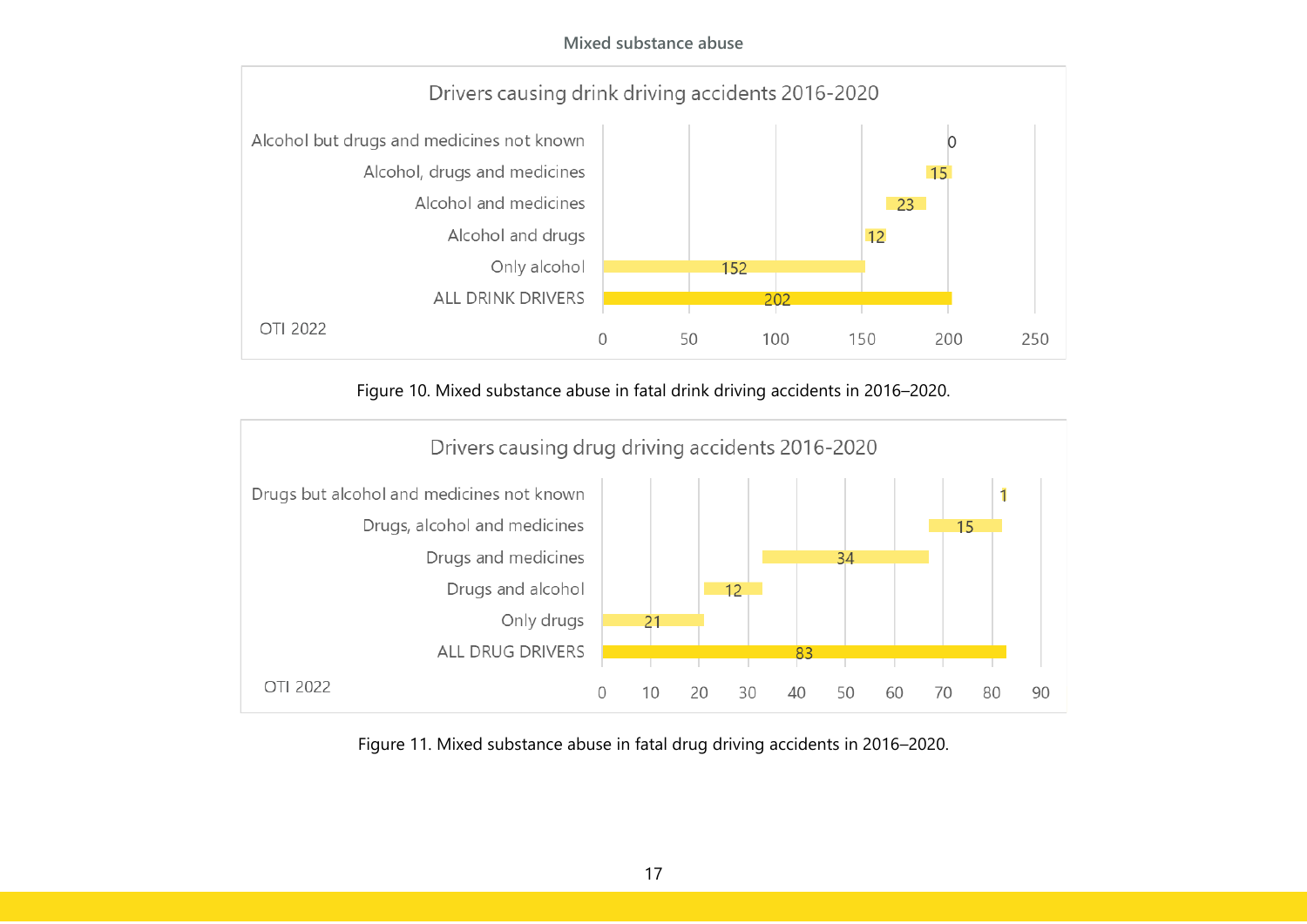**Mixed substance abuse**



Figure 10. Mixed substance abuse in fatal drink driving accidents in 2016–2020.

<span id="page-17-0"></span>

<span id="page-17-1"></span>Figure 11. Mixed substance abuse in fatal drug driving accidents in 2016–2020.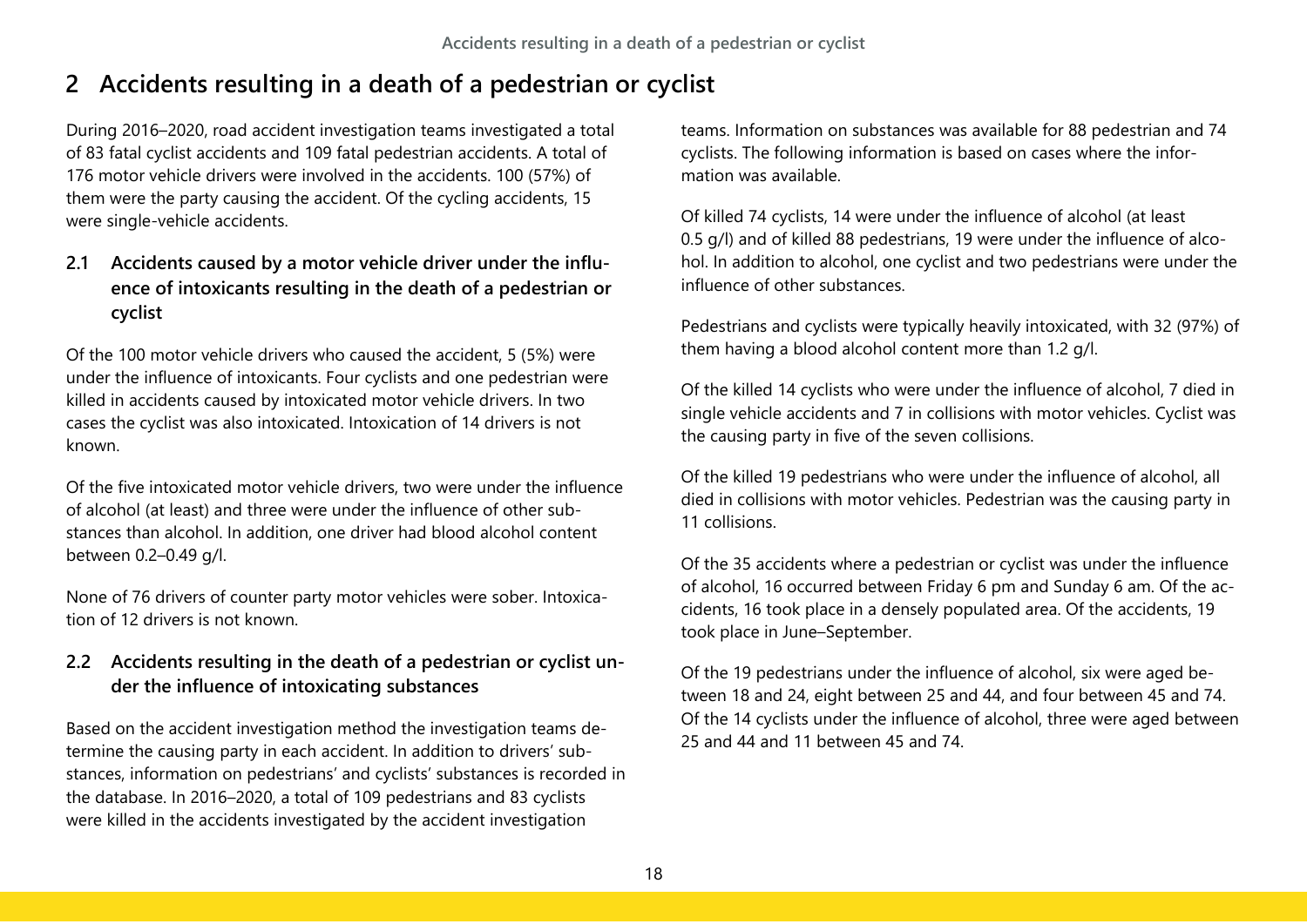# <span id="page-18-0"></span>**2 Accidents resulting in a death of a pedestrian or cyclist**

During 2016–2020, road accident investigation teams investigated a total of 83 fatal cyclist accidents and 109 fatal pedestrian accidents. A total of 176 motor vehicle drivers were involved in the accidents. 100 (57%) of them were the party causing the accident. Of the cycling accidents, 15 were single-vehicle accidents.

# <span id="page-18-1"></span>**2.1 Accidents caused by a motor vehicle driver under the influence of intoxicants resulting in the death of a pedestrian or cyclist**

Of the 100 motor vehicle drivers who caused the accident, 5 (5%) were under the influence of intoxicants. Four cyclists and one pedestrian were killed in accidents caused by intoxicated motor vehicle drivers. In two cases the cyclist was also intoxicated. Intoxication of 14 drivers is not known.

Of the five intoxicated motor vehicle drivers, two were under the influence of alcohol (at least) and three were under the influence of other substances than alcohol. In addition, one driver had blood alcohol content between 0.2–0.49 g/l.

None of 76 drivers of counter party motor vehicles were sober. Intoxication of 12 drivers is not known.

# <span id="page-18-2"></span>**2.2 Accidents resulting in the death of a pedestrian or cyclist under the influence of intoxicating substances**

Based on the accident investigation method the investigation teams determine the causing party in each accident. In addition to drivers' substances, information on pedestrians' and cyclists' substances is recorded in the database. In 2016–2020, a total of 109 pedestrians and 83 cyclists were killed in the accidents investigated by the accident investigation

teams. Information on substances was available for 88 pedestrian and 74 cyclists. The following information is based on cases where the information was available.

Of killed 74 cyclists, 14 were under the influence of alcohol (at least 0.5 g/l) and of killed 88 pedestrians, 19 were under the influence of alcohol. In addition to alcohol, one cyclist and two pedestrians were under the influence of other substances.

Pedestrians and cyclists were typically heavily intoxicated, with 32 (97%) of them having a blood alcohol content more than 1.2 g/l.

Of the killed 14 cyclists who were under the influence of alcohol, 7 died in single vehicle accidents and 7 in collisions with motor vehicles. Cyclist was the causing party in five of the seven collisions.

Of the killed 19 pedestrians who were under the influence of alcohol, all died in collisions with motor vehicles. Pedestrian was the causing party in 11 collisions.

Of the 35 accidents where a pedestrian or cyclist was under the influence of alcohol, 16 occurred between Friday 6 pm and Sunday 6 am. Of the accidents, 16 took place in a densely populated area. Of the accidents, 19 took place in June–September.

Of the 19 pedestrians under the influence of alcohol, six were aged between 18 and 24, eight between 25 and 44, and four between 45 and 74. Of the 14 cyclists under the influence of alcohol, three were aged between 25 and 44 and 11 between 45 and 74.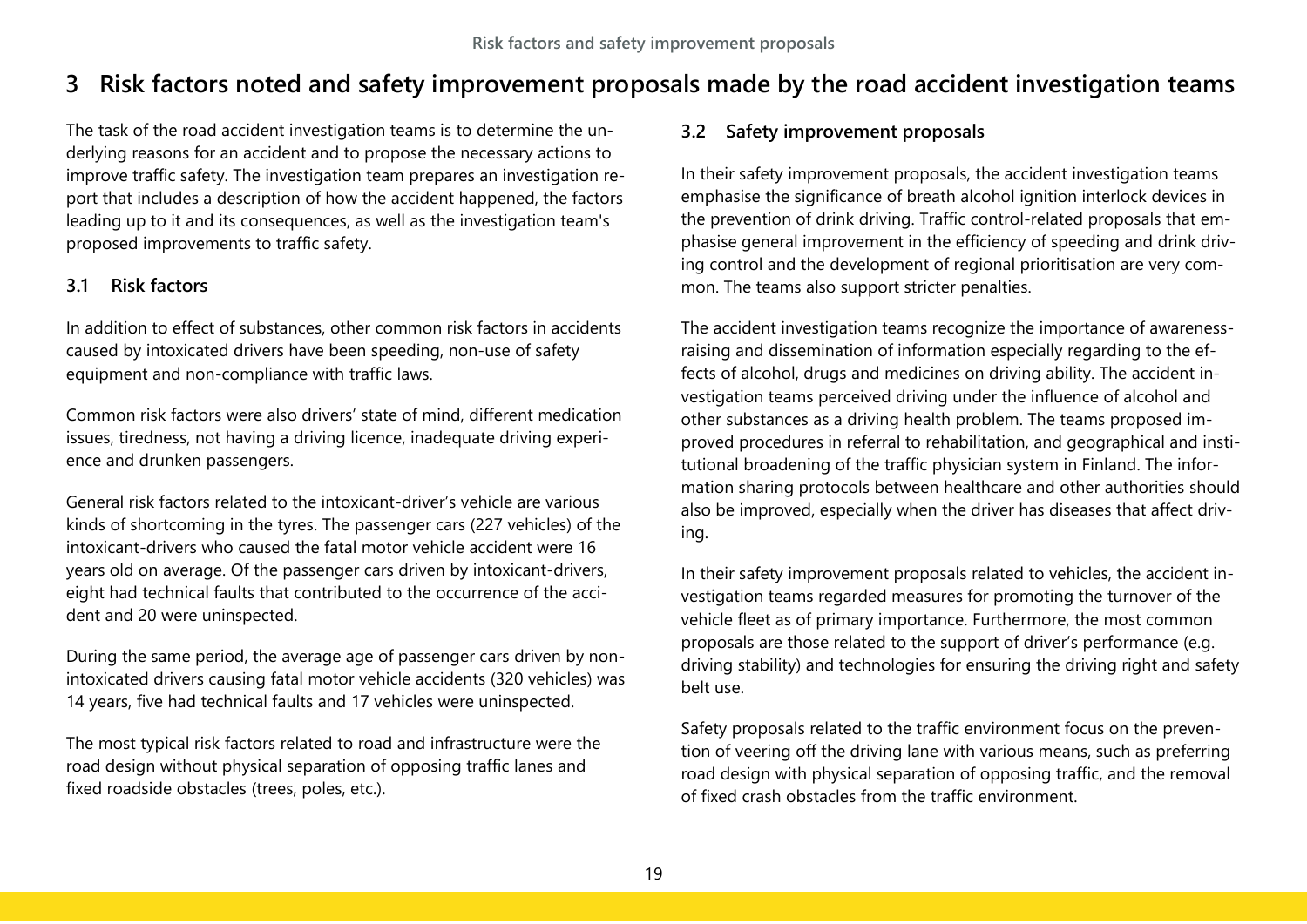# <span id="page-19-0"></span>**3 Risk factors noted and safety improvement proposals made by the road accident investigation teams**

The task of the road accident investigation teams is to determine the underlying reasons for an accident and to propose the necessary actions to improve traffic safety. The investigation team prepares an investigation report that includes a description of how the accident happened, the factors leading up to it and its consequences, as well as the investigation team's proposed improvements to traffic safety.

#### <span id="page-19-1"></span>**3.1 Risk factors**

In addition to effect of substances, other common risk factors in accidents caused by intoxicated drivers have been speeding, non-use of safety equipment and non-compliance with traffic laws.

Common risk factors were also drivers' state of mind, different medication issues, tiredness, not having a driving licence, inadequate driving experience and drunken passengers.

General risk factors related to the intoxicant-driver's vehicle are various kinds of shortcoming in the tyres. The passenger cars (227 vehicles) of the intoxicant-drivers who caused the fatal motor vehicle accident were 16 years old on average. Of the passenger cars driven by intoxicant-drivers, eight had technical faults that contributed to the occurrence of the accident and 20 were uninspected.

During the same period, the average age of passenger cars driven by nonintoxicated drivers causing fatal motor vehicle accidents (320 vehicles) was 14 years, five had technical faults and 17 vehicles were uninspected.

The most typical risk factors related to road and infrastructure were the road design without physical separation of opposing traffic lanes and fixed roadside obstacles (trees, poles, etc.).

## <span id="page-19-2"></span>**3.2 Safety improvement proposals**

In their safety improvement proposals, the accident investigation teams emphasise the significance of breath alcohol ignition interlock devices in the prevention of drink driving. Traffic control-related proposals that emphasise general improvement in the efficiency of speeding and drink driving control and the development of regional prioritisation are very common. The teams also support stricter penalties.

The accident investigation teams recognize the importance of awarenessraising and dissemination of information especially regarding to the effects of alcohol, drugs and medicines on driving ability. The accident investigation teams perceived driving under the influence of alcohol and other substances as a driving health problem. The teams proposed improved procedures in referral to rehabilitation, and geographical and institutional broadening of the traffic physician system in Finland. The information sharing protocols between healthcare and other authorities should also be improved, especially when the driver has diseases that affect driving.

In their safety improvement proposals related to vehicles, the accident investigation teams regarded measures for promoting the turnover of the vehicle fleet as of primary importance. Furthermore, the most common proposals are those related to the support of driver's performance (e.g. driving stability) and technologies for ensuring the driving right and safety belt use.

Safety proposals related to the traffic environment focus on the prevention of veering off the driving lane with various means, such as preferring road design with physical separation of opposing traffic, and the removal of fixed crash obstacles from the traffic environment.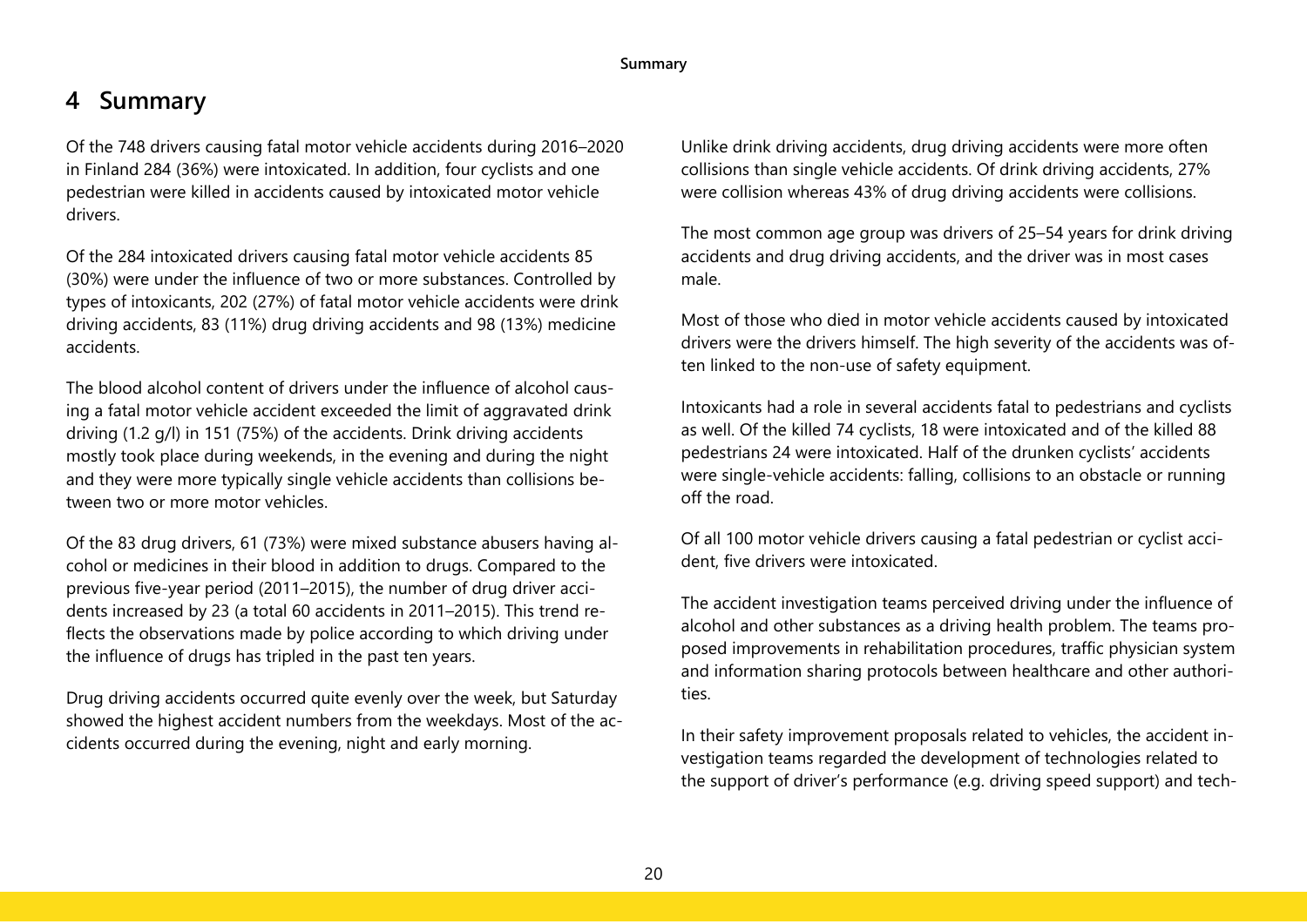#### **Summary**

# <span id="page-20-0"></span>**4 Summary**

Of the 748 drivers causing fatal motor vehicle accidents during 2016–2020 in Finland 284 (36%) were intoxicated. In addition, four cyclists and one pedestrian were killed in accidents caused by intoxicated motor vehicle drivers.

Of the 284 intoxicated drivers causing fatal motor vehicle accidents 85 (30%) were under the influence of two or more substances. Controlled by types of intoxicants, 202 (27%) of fatal motor vehicle accidents were drink driving accidents, 83 (11%) drug driving accidents and 98 (13%) medicine accidents.

The blood alcohol content of drivers under the influence of alcohol causing a fatal motor vehicle accident exceeded the limit of aggravated drink driving (1.2 g/l) in 151 (75%) of the accidents. Drink driving accidents mostly took place during weekends, in the evening and during the night and they were more typically single vehicle accidents than collisions between two or more motor vehicles.

Of the 83 drug drivers, 61 (73%) were mixed substance abusers having alcohol or medicines in their blood in addition to drugs. Compared to the previous five-year period (2011–2015), the number of drug driver accidents increased by 23 (a total 60 accidents in 2011–2015). This trend reflects the observations made by police according to which driving under the influence of drugs has tripled in the past ten years.

Drug driving accidents occurred quite evenly over the week, but Saturday showed the highest accident numbers from the weekdays. Most of the accidents occurred during the evening, night and early morning.

Unlike drink driving accidents, drug driving accidents were more often collisions than single vehicle accidents. Of drink driving accidents, 27% were collision whereas 43% of drug driving accidents were collisions.

The most common age group was drivers of 25–54 years for drink driving accidents and drug driving accidents, and the driver was in most cases male.

Most of those who died in motor vehicle accidents caused by intoxicated drivers were the drivers himself. The high severity of the accidents was often linked to the non-use of safety equipment.

Intoxicants had a role in several accidents fatal to pedestrians and cyclists as well. Of the killed 74 cyclists, 18 were intoxicated and of the killed 88 pedestrians 24 were intoxicated. Half of the drunken cyclists' accidents were single-vehicle accidents: falling, collisions to an obstacle or running off the road.

Of all 100 motor vehicle drivers causing a fatal pedestrian or cyclist accident, five drivers were intoxicated.

The accident investigation teams perceived driving under the influence of alcohol and other substances as a driving health problem. The teams proposed improvements in rehabilitation procedures, traffic physician system and information sharing protocols between healthcare and other authorities.

In their safety improvement proposals related to vehicles, the accident investigation teams regarded the development of technologies related to the support of driver's performance (e.g. driving speed support) and tech-